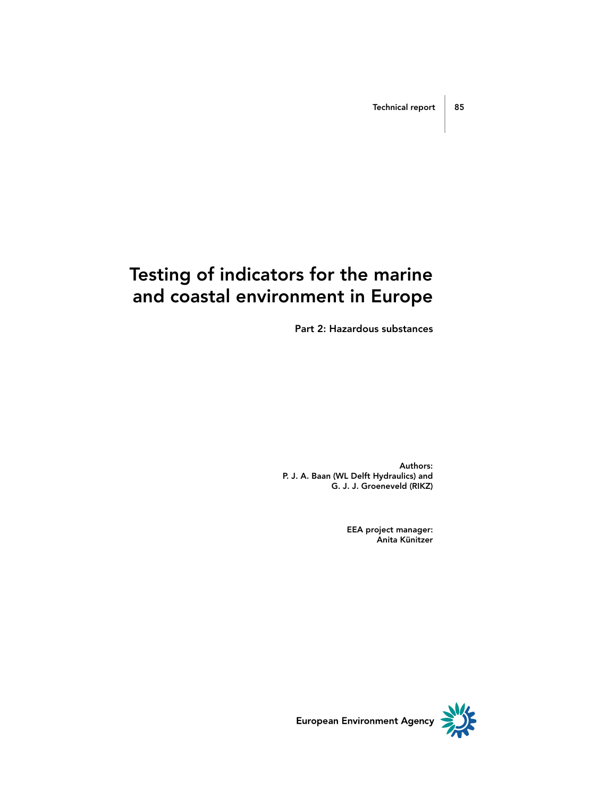# Testing of indicators for the marine and coastal environment in Europe

Part 2: Hazardous substances

Authors: P. J. A. Baan (WL Delft Hydraulics) and G. J. J. Groeneveld (RIKZ)

> EEA project manager: Anita Künitzer



European Environment Agency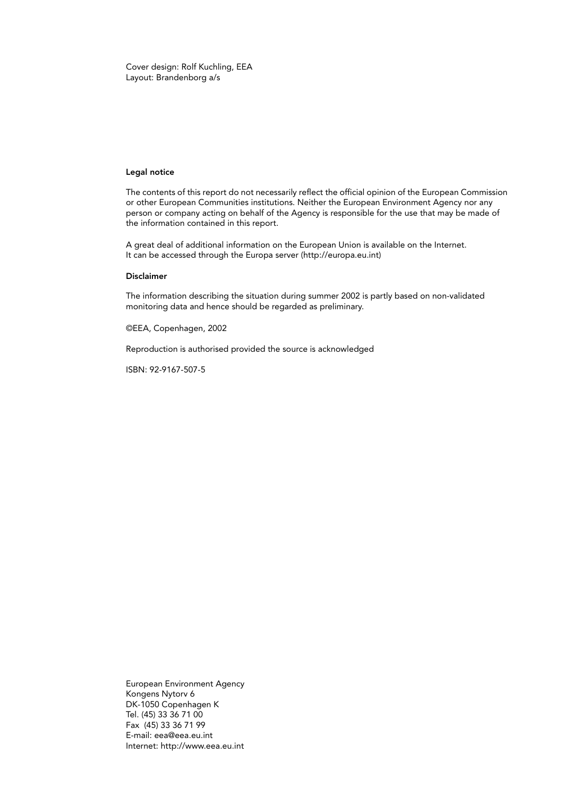Cover design: Rolf Kuchling, EEA Layout: Brandenborg a/s

### Legal notice

The contents of this report do not necessarily reflect the official opinion of the European Commission or other European Communities institutions. Neither the European Environment Agency nor any person or company acting on behalf of the Agency is responsible for the use that may be made of the information contained in this report.

A great deal of additional information on the European Union is available on the Internet. It can be accessed through the Europa server (http://europa.eu.int)

#### Disclaimer

The information describing the situation during summer 2002 is partly based on non-validated monitoring data and hence should be regarded as preliminary.

©EEA, Copenhagen, 2002

Reproduction is authorised provided the source is acknowledged

ISBN: 92-9167-507-5

European Environment Agency Kongens Nytorv 6 DK-1050 Copenhagen K Tel. (45) 33 36 71 00 Fax (45) 33 36 71 99 E-mail: eea@eea.eu.int Internet: http://www.eea.eu.int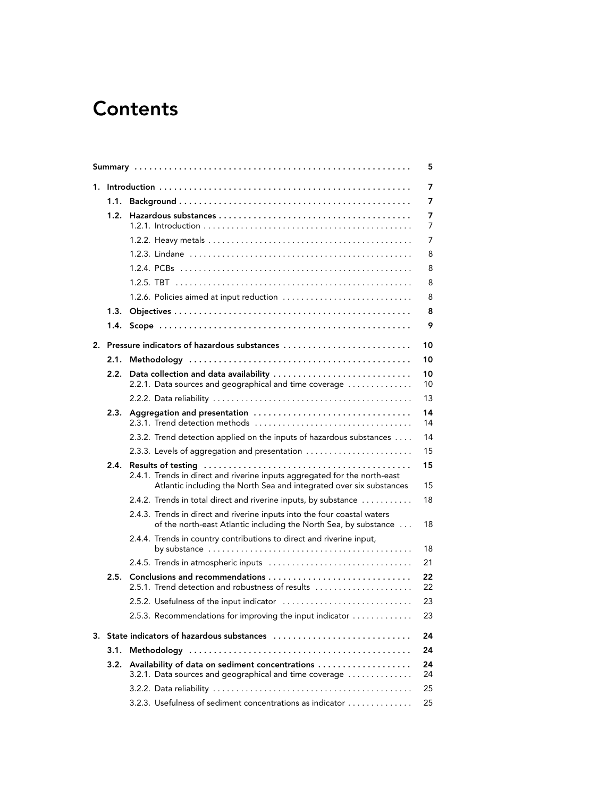# **Contents**

|    |      |                                                                                                                                                  | 5              |
|----|------|--------------------------------------------------------------------------------------------------------------------------------------------------|----------------|
|    |      |                                                                                                                                                  | $\overline{7}$ |
|    | 1.1. |                                                                                                                                                  | 7              |
|    | 1.2. |                                                                                                                                                  | 7<br>7         |
|    |      |                                                                                                                                                  | $\overline{7}$ |
|    |      |                                                                                                                                                  | 8              |
|    |      |                                                                                                                                                  | 8              |
|    |      |                                                                                                                                                  | 8              |
|    |      | 1.2.6. Policies aimed at input reduction                                                                                                         | 8              |
|    | 1.3. |                                                                                                                                                  | 8              |
|    | 1.4. |                                                                                                                                                  | 9              |
|    |      | 2. Pressure indicators of hazardous substances                                                                                                   | 10             |
|    | 2.1. |                                                                                                                                                  | 10             |
|    | 2.2. | Data collection and data availability<br>2.2.1. Data sources and geographical and time coverage                                                  | 10<br>10       |
|    |      |                                                                                                                                                  | 13             |
|    | 2.3. |                                                                                                                                                  | 14<br>14       |
|    |      | 2.3.2. Trend detection applied on the inputs of hazardous substances                                                                             | 14             |
|    |      | 2.3.3. Levels of aggregation and presentation                                                                                                    | 15             |
|    | 2.4. | 2.4.1. Trends in direct and riverine inputs aggregated for the north-east<br>Atlantic including the North Sea and integrated over six substances | 15<br>15       |
|    |      | 2.4.2. Trends in total direct and riverine inputs, by substance                                                                                  | 18             |
|    |      | 2.4.3. Trends in direct and riverine inputs into the four coastal waters<br>of the north-east Atlantic including the North Sea, by substance     | 18             |
|    |      | 2.4.4. Trends in country contributions to direct and riverine input,                                                                             | 18             |
|    |      |                                                                                                                                                  | 21             |
|    | 2.5. | Conclusions and recommendations<br>2.5.1. Trend detection and robustness of results                                                              | 22<br>22       |
|    |      | 2.5.2. Usefulness of the input indicator                                                                                                         | 23             |
|    |      | 2.5.3. Recommendations for improving the input indicator                                                                                         | 23             |
| 3. |      | State indicators of hazardous substances                                                                                                         | 24             |
|    | 3.1. |                                                                                                                                                  | 24             |
|    | 3.2. | Availability of data on sediment concentrations<br>3.2.1. Data sources and geographical and time coverage                                        | 24<br>24       |
|    |      |                                                                                                                                                  | 25             |
|    |      | 3.2.3. Usefulness of sediment concentrations as indicator                                                                                        | 25             |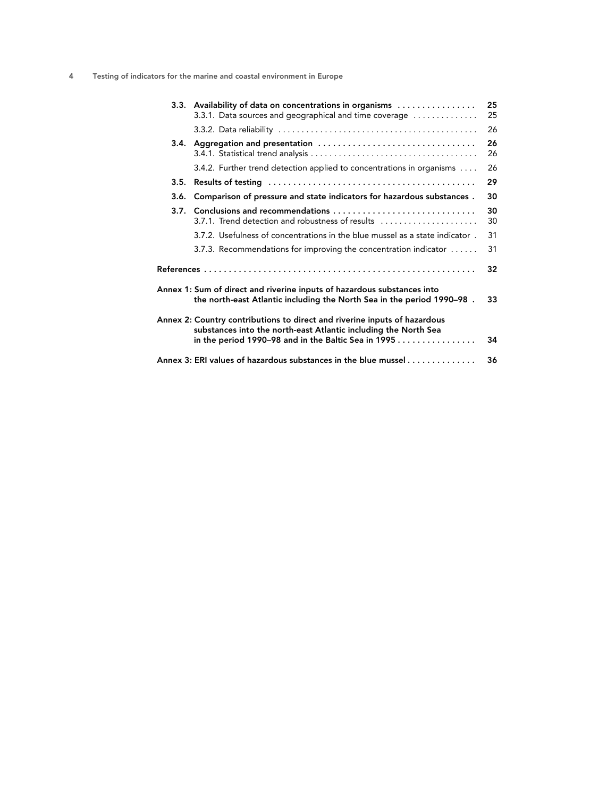|      | 3.3. Availability of data on concentrations in organisms<br>3.3.1. Data sources and geographical and time coverage                                                                                  | 25<br>25 |  |  |  |
|------|-----------------------------------------------------------------------------------------------------------------------------------------------------------------------------------------------------|----------|--|--|--|
|      |                                                                                                                                                                                                     | 26       |  |  |  |
|      |                                                                                                                                                                                                     | 26<br>26 |  |  |  |
|      | 3.4.2. Further trend detection applied to concentrations in organisms                                                                                                                               | 26       |  |  |  |
| 3.5. |                                                                                                                                                                                                     |          |  |  |  |
| 3.6. | Comparison of pressure and state indicators for hazardous substances.                                                                                                                               | 30       |  |  |  |
|      | 3.7. Conclusions and recommendations<br>3.7.1. Trend detection and robustness of results                                                                                                            | 30<br>30 |  |  |  |
|      | 3.7.2. Usefulness of concentrations in the blue mussel as a state indicator.                                                                                                                        | 31       |  |  |  |
|      | 3.7.3. Recommendations for improving the concentration indicator                                                                                                                                    | 31       |  |  |  |
| 32   |                                                                                                                                                                                                     |          |  |  |  |
|      | Annex 1: Sum of direct and riverine inputs of hazardous substances into<br>the north-east Atlantic including the North Sea in the period 1990-98.                                                   | 33       |  |  |  |
|      | Annex 2: Country contributions to direct and riverine inputs of hazardous<br>substances into the north-east Atlantic including the North Sea<br>in the period 1990–98 and in the Baltic Sea in 1995 | 34       |  |  |  |
|      | Annex 3: ERI values of hazardous substances in the blue mussel                                                                                                                                      | 36       |  |  |  |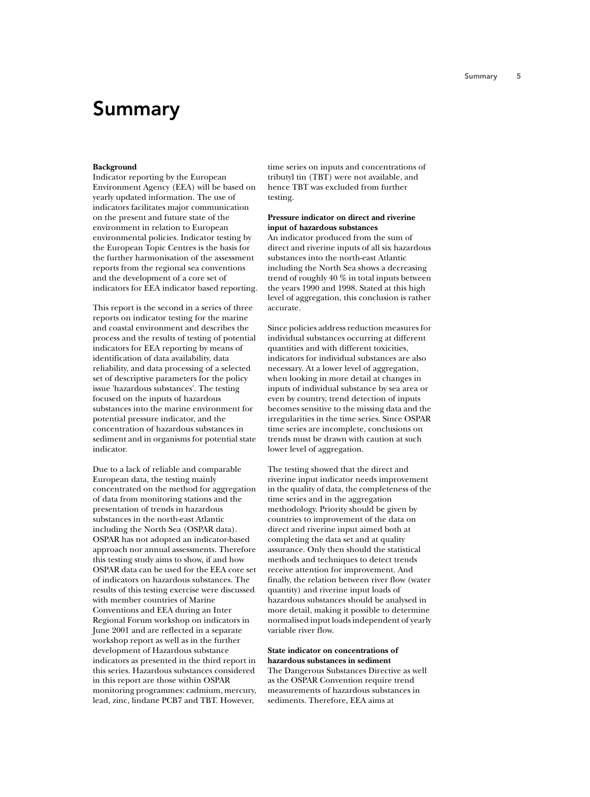## **Summary**

#### **Background**

Indicator reporting by the European Environment Agency (EEA) will be based on yearly updated information. The use of indicators facilitates major communication on the present and future state of the environment in relation to European environmental policies. Indicator testing by the European Topic Centres is the basis for the further harmonisation of the assessment reports from the regional sea conventions and the development of a core set of indicators for EEA indicator based reporting.

This report is the second in a series of three reports on indicator testing for the marine and coastal environment and describes the process and the results of testing of potential indicators for EEA reporting by means of identification of data availability, data reliability, and data processing of a selected set of descriptive parameters for the policy issue 'hazardous substances'. The testing focused on the inputs of hazardous substances into the marine environment for potential pressure indicator, and the concentration of hazardous substances in sediment and in organisms for potential state indicator.

Due to a lack of reliable and comparable European data, the testing mainly concentrated on the method for aggregation of data from monitoring stations and the presentation of trends in hazardous substances in the north-east Atlantic including the North Sea (OSPAR data). OSPAR has not adopted an indicator-based approach nor annual assessments. Therefore this testing study aims to show, if and how OSPAR data can be used for the EEA core set of indicators on hazardous substances. The results of this testing exercise were discussed with member countries of Marine Conventions and EEA during an Inter Regional Forum workshop on indicators in June 2001 and are reflected in a separate workshop report as well as in the further development of Hazardous substance indicators as presented in the third report in this series. Hazardous substances considered in this report are those within OSPAR monitoring programmes: cadmium, mercury, lead, zinc, lindane PCB7 and TBT. However,

time series on inputs and concentrations of tributyl tin (TBT) were not available, and hence TBT was excluded from further testing.

### Pressure indicator on direct and riverine input of hazardous substances

An indicator produced from the sum of direct and riverine inputs of all six hazardous substances into the north-east Atlantic including the North Sea shows a decreasing trend of roughly 40  $\%$  in total inputs between the years 1990 and 1998. Stated at this high level of aggregation, this conclusion is rather accurate.

Since policies address reduction measures for individual substances occurring at different quantities and with different toxicities, indicators for individual substances are also necessary. At a lower level of aggregation, when looking in more detail at changes in inputs of individual substance by sea area or even by country, trend detection of inputs becomes sensitive to the missing data and the irregularities in the time series. Since OSPAR time series are incomplete, conclusions on trends must be drawn with caution at such lower level of aggregation.

The testing showed that the direct and riverine input indicator needs improvement in the quality of data, the completeness of the time series and in the aggregation methodology. Priority should be given by countries to improvement of the data on direct and riverine input aimed both at completing the data set and at quality assurance. Only then should the statistical methods and techniques to detect trends receive attention for improvement. And finally, the relation between river flow (water quantity) and riverine input loads of hazardous substances should be analysed in more detail, making it possible to determine normalised input loads independent of yearly variable river flow.

## State indicator on concentrations of hazardous substances in sediment

The Dangerous Substances Directive as well as the OSPAR Convention require trend measurements of hazardous substances in sediments. Therefore, EEA aims at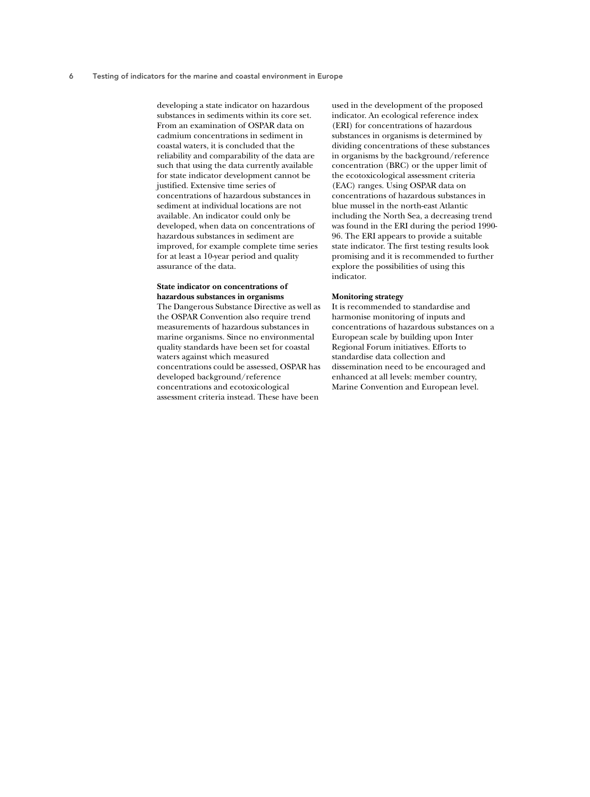developing a state indicator on hazardous substances in sediments within its core set. From an examination of OSPAR data on cadmium concentrations in sediment in coastal waters, it is concluded that the reliability and comparability of the data are such that using the data currently available for state indicator development cannot be justified. Extensive time series of concentrations of hazardous substances in sediment at individual locations are not available. An indicator could only be developed, when data on concentrations of hazardous substances in sediment are improved, for example complete time series for at least a 10-year period and quality assurance of the data.

## State indicator on concentrations of hazardous substances in organisms

The Dangerous Substance Directive as well as the OSPAR Convention also require trend measurements of hazardous substances in marine organisms. Since no environmental quality standards have been set for coastal waters against which measured concentrations could be assessed, OSPAR has developed background/reference concentrations and ecotoxicological assessment criteria instead. These have been

used in the development of the proposed indicator. An ecological reference index (ERI) for concentrations of hazardous substances in organisms is determined by dividing concentrations of these substances in organisms by the background/reference concentration (BRC) or the upper limit of the ecotoxicological assessment criteria (EAC) ranges. Using OSPAR data on concentrations of hazardous substances in blue mussel in the north-east Atlantic including the North Sea, a decreasing trend was found in the ERI during the period 1990-96. The ERI appears to provide a suitable state indicator. The first testing results look promising and it is recommended to further explore the possibilities of using this indicator.

#### **Monitoring strategy**

It is recommended to standardise and harmonise monitoring of inputs and concentrations of hazardous substances on a European scale by building upon Inter Regional Forum initiatives. Efforts to standardise data collection and dissemination need to be encouraged and enhanced at all levels: member country, Marine Convention and European level.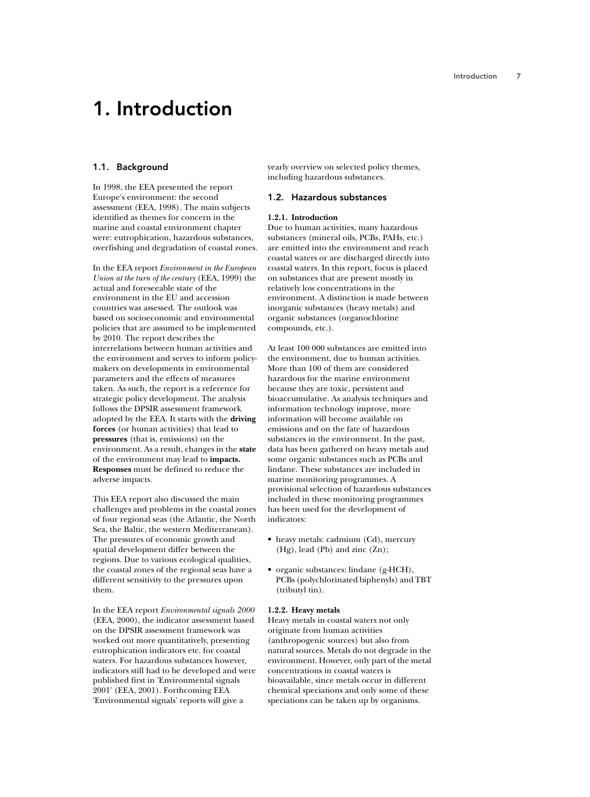# 1. Introduction

## 1.1. Background

In 1998, the EEA presented the report Europe's environment: the second assessment (EEA, 1998). The main subjects identified as themes for concern in the marine and coastal environment chapter were: eutrophication, hazardous substances, overfishing and degradation of coastal zones.

In the EEA report *Environment* in the European Union at the turn of the century (EEA, 1999) the actual and foreseeable state of the environment in the EU and accession countries was assessed. The outlook was based on socioeconomic and environmental policies that are assumed to be implemented by 2010. The report describes the interrelations between human activities and the environment and serves to inform policymakers on developments in environmental parameters and the effects of measures taken. As such, the report is a reference for strategic policy development. The analysis follows the DPSIR assessment framework adopted by the EEA. It starts with the driving forces (or human activities) that lead to pressures (that is, emissions) on the environment. As a result, changes in the state of the environment may lead to **impacts.** Responses must be defined to reduce the adverse impacts.

This EEA report also discussed the main challenges and problems in the coastal zones of four regional seas (the Atlantic, the North Sea, the Baltic, the western Mediterranean). The pressures of economic growth and spatial development differ between the regions. Due to various ecological qualities, the coastal zones of the regional seas have a different sensitivity to the pressures upon them.

In the EEA report Environmental signals 2000 (EEA, 2000), the indicator assessment based on the DPSIR assessment framework was worked out more quantitatively, presenting eutrophication indicators etc. for coastal waters. For hazardous substances however, indicators still had to be developed and were published first in 'Environmental signals 2001' (EEA, 2001). Forthcoming EEA 'Environmental signals' reports will give a

yearly overview on selected policy themes, including hazardous substances.

## 1.2. Hazardous substances

### 1.2.1. Introduction

Due to human activities, many hazardous substances (mineral oils, PCBs, PAHs, etc.) are emitted into the environment and reach coastal waters or are discharged directly into coastal waters. In this report, focus is placed on substances that are present mostly in relatively low concentrations in the environment. A distinction is made between inorganic substances (heavy metals) and organic substances (organochlorine compounds, etc.).

At least 100 000 substances are emitted into the environment, due to human activities. More than 100 of them are considered hazardous for the marine environment because they are toxic, persistent and bioaccumulative. As analysis techniques and information technology improve, more information will become available on emissions and on the fate of hazardous substances in the environment. In the past, data has been gathered on heavy metals and some organic substances such as PCBs and lindane. These substances are included in marine monitoring programmes. A provisional selection of hazardous substances included in these monitoring programmes has been used for the development of indicators:

- heavy metals: cadmium (Cd), mercury  $(Hg)$ , lead (Pb) and zinc  $(Zn)$ ;
- organic substances: lindane (g-HCH), PCBs (polychlorinated biphenyls) and TBT (tributyl tin).

#### 1.2.2. Heavy metals

Heavy metals in coastal waters not only originate from human activities (anthropogenic sources) but also from natural sources. Metals do not degrade in the environment. However, only part of the metal concentrations in coastal waters is bioavailable, since metals occur in different chemical speciations and only some of these speciations can be taken up by organisms.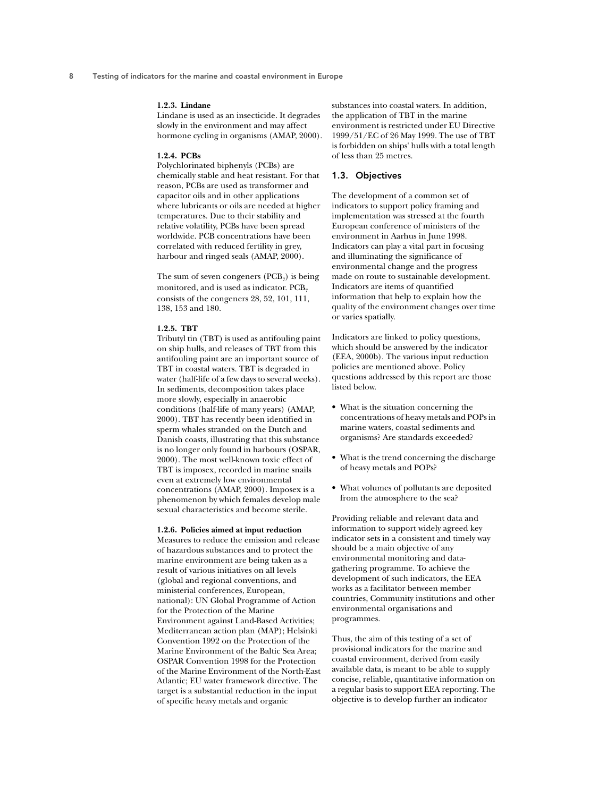#### 1.2.3. Lindane

Lindane is used as an insecticide. It degrades slowly in the environment and may affect hormone cycling in organisms (AMAP, 2000).

#### 1.2.4. PCBs

Polychlorinated biphenyls (PCBs) are chemically stable and heat resistant. For that reason, PCBs are used as transformer and capacitor oils and in other applications where lubricants or oils are needed at higher temperatures. Due to their stability and relative volatility, PCBs have been spread worldwide. PCB concentrations have been correlated with reduced fertility in grey, harbour and ringed seals (AMAP, 2000).

The sum of seven congeners ( $PCB_7$ ) is being monitored, and is used as indicator. PCB<sub>7</sub> consists of the congeners 28, 52, 101, 111, 138, 153 and 180.

#### 1.2.5. TBT

Tributyl tin (TBT) is used as antifouling paint on ship hulls, and releases of TBT from this antifouling paint are an important source of TBT in coastal waters. TBT is degraded in water (half-life of a few days to several weeks). In sediments, decomposition takes place more slowly, especially in anaerobic conditions (half-life of many years) (AMAP, 2000). TBT has recently been identified in sperm whales stranded on the Dutch and Danish coasts, illustrating that this substance is no longer only found in harbours (OSPAR, 2000). The most well-known toxic effect of TBT is imposex, recorded in marine snails even at extremely low environmental concentrations (AMAP, 2000). Imposex is a phenomenon by which females develop male sexual characteristics and become sterile.

#### 1.2.6. Policies aimed at input reduction

Measures to reduce the emission and release of hazardous substances and to protect the marine environment are being taken as a result of various initiatives on all levels (global and regional conventions, and ministerial conferences, European, national): UN Global Programme of Action for the Protection of the Marine Environment against Land-Based Activities; Mediterranean action plan (MAP); Helsinki Convention 1992 on the Protection of the Marine Environment of the Baltic Sea Area: **OSPAR Convention 1998 for the Protection** of the Marine Environment of the North-East Atlantic; EU water framework directive. The target is a substantial reduction in the input of specific heavy metals and organic

substances into coastal waters. In addition, the application of TBT in the marine environment is restricted under EU Directive 1999/51/EC of 26 May 1999. The use of TBT is forbidden on ships' hulls with a total length of less than 25 metres.

## 1.3. Objectives

The development of a common set of indicators to support policy framing and implementation was stressed at the fourth European conference of ministers of the environment in Aarhus in June 1998. Indicators can play a vital part in focusing and illuminating the significance of environmental change and the progress made on route to sustainable development. Indicators are items of quantified information that help to explain how the quality of the environment changes over time or varies spatially.

Indicators are linked to policy questions, which should be answered by the indicator (EEA, 2000b). The various input reduction policies are mentioned above. Policy questions addressed by this report are those listed below.

- What is the situation concerning the concentrations of heavy metals and POPs in marine waters, coastal sediments and organisms? Are standards exceeded?
- What is the trend concerning the discharge of heavy metals and POPs?
- What volumes of pollutants are deposited from the atmosphere to the sea?

Providing reliable and relevant data and information to support widely agreed key indicator sets in a consistent and timely way should be a main objective of any environmental monitoring and datagathering programme. To achieve the development of such indicators, the EEA works as a facilitator between member countries, Community institutions and other environmental organisations and programmes.

Thus, the aim of this testing of a set of provisional indicators for the marine and coastal environment, derived from easily available data, is meant to be able to supply concise, reliable, quantitative information on a regular basis to support EEA reporting. The objective is to develop further an indicator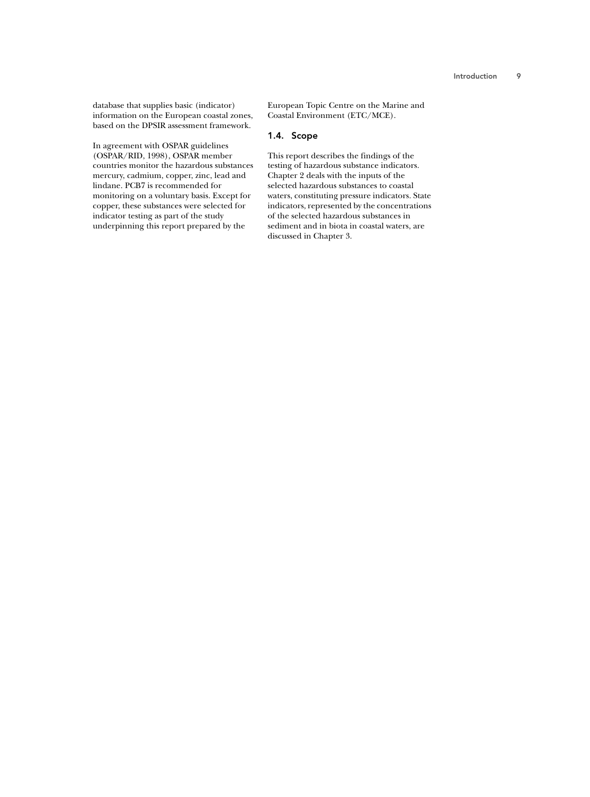database that supplies basic (indicator) information on the European coastal zones, based on the DPSIR assessment framework.

In agreement with OSPAR guidelines (OSPAR/RID, 1998), OSPAR member countries monitor the hazardous substances mercury, cadmium, copper, zinc, lead and lindane. PCB7 is recommended for monitoring on a voluntary basis. Except for copper, these substances were selected for indicator testing as part of the study underpinning this report prepared by the

European Topic Centre on the Marine and Coastal Environment (ETC/MCE).

## 1.4. Scope

This report describes the findings of the testing of hazardous substance indicators. Chapter 2 deals with the inputs of the selected hazardous substances to coastal waters, constituting pressure indicators. State indicators, represented by the concentrations of the selected hazardous substances in sediment and in biota in coastal waters, are discussed in Chapter 3.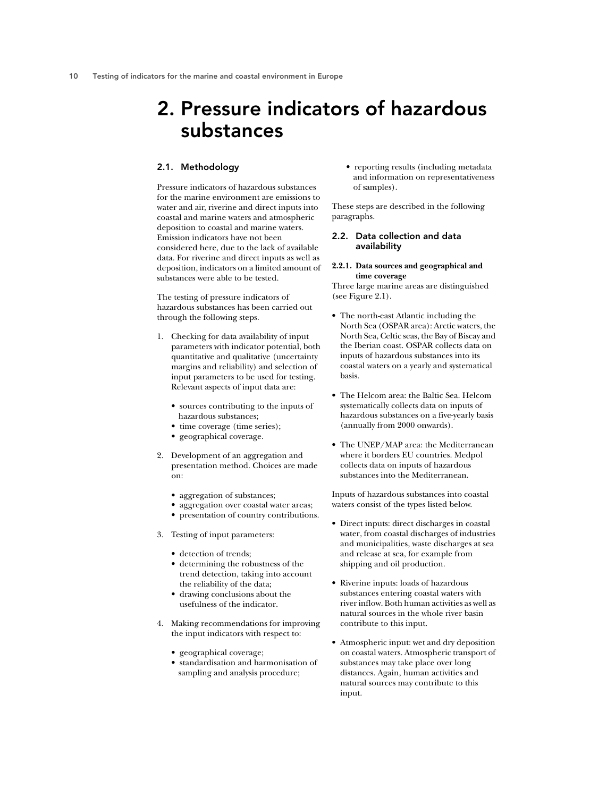## 2. Pressure indicators of hazardous substances

## 2.1. Methodology

Pressure indicators of hazardous substances for the marine environment are emissions to water and air, riverine and direct inputs into coastal and marine waters and atmospheric deposition to coastal and marine waters. Emission indicators have not been considered here, due to the lack of available data. For riverine and direct inputs as well as deposition, indicators on a limited amount of substances were able to be tested.

The testing of pressure indicators of hazardous substances has been carried out through the following steps.

- 1. Checking for data availability of input parameters with indicator potential, both quantitative and qualitative (uncertainty margins and reliability) and selection of input parameters to be used for testing. Relevant aspects of input data are:
	- sources contributing to the inputs of hazardous substances;
	- time coverage (time series);
	- geographical coverage.
- 2. Development of an aggregation and presentation method. Choices are made on:
	- aggregation of substances;
	- · aggregation over coastal water areas;
	- presentation of country contributions.
- 3. Testing of input parameters:
	- detection of trends;
	- determining the robustness of the trend detection, taking into account the reliability of the data;
	- drawing conclusions about the usefulness of the indicator.
- 4. Making recommendations for improving the input indicators with respect to:
	- geographical coverage;
	- standardisation and harmonisation of sampling and analysis procedure;

• reporting results (including metadata and information on representativeness of samples).

These steps are described in the following paragraphs.

## 2.2. Data collection and data availability

## 2.2.1. Data sources and geographical and time coverage

Three large marine areas are distinguished (see Figure  $2.1$ ).

- The north-east Atlantic including the North Sea (OSPAR area): Arctic waters, the North Sea, Celtic seas, the Bay of Biscay and the Iberian coast. OSPAR collects data on inputs of hazardous substances into its coastal waters on a yearly and systematical hasis
- The Helcom area: the Baltic Sea. Helcom systematically collects data on inputs of hazardous substances on a five-yearly basis (annually from 2000 onwards).
- The UNEP/MAP area: the Mediterranean where it borders EU countries. Medpol collects data on inputs of hazardous substances into the Mediterranean

Inputs of hazardous substances into coastal waters consist of the types listed below.

- Direct inputs: direct discharges in coastal water, from coastal discharges of industries and municipalities, waste discharges at sea and release at sea, for example from shipping and oil production.
- Riverine inputs: loads of hazardous substances entering coastal waters with river inflow. Both human activities as well as natural sources in the whole river basin contribute to this input.
- Atmospheric input: wet and dry deposition on coastal waters. Atmospheric transport of substances may take place over long distances. Again, human activities and natural sources may contribute to this input.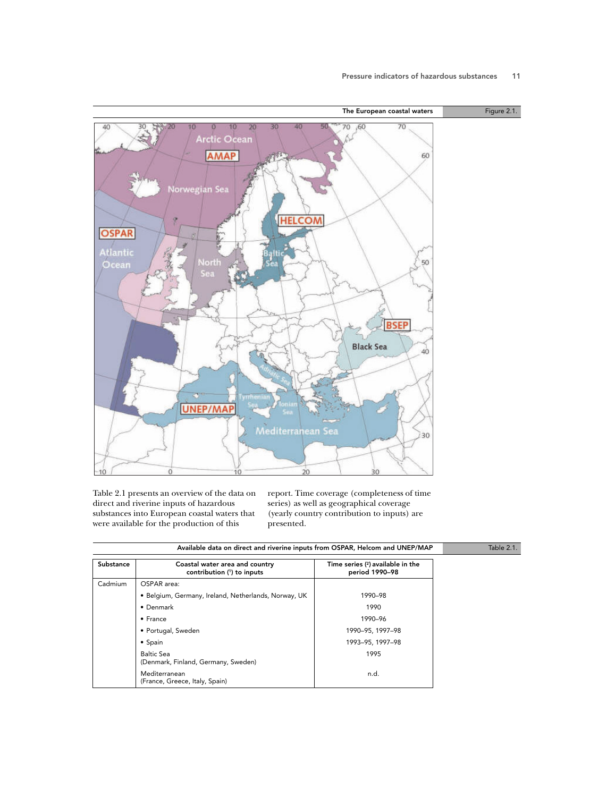The European coastal waters Figure 2.1.



Table 2.1 presents an overview of the data on direct and riverine inputs of hazardous substances into European coastal waters that were available for the production of this

report. Time coverage (completeness of time series) as well as geographical coverage (yearly country contribution to inputs) are presented.

| Table 2.1. |  |  |
|------------|--|--|
|            |  |  |

|           | Available data on direct and riverine inputs from OSPAR, Helcom and UNEP/MAP |                                                    |  |  |  |  |  |
|-----------|------------------------------------------------------------------------------|----------------------------------------------------|--|--|--|--|--|
| Substance | Coastal water area and country<br>contribution (1) to inputs                 | Time series (2) available in the<br>period 1990-98 |  |  |  |  |  |
| Cadmium   | OSPAR area:                                                                  |                                                    |  |  |  |  |  |
|           | • Belgium, Germany, Ireland, Netherlands, Norway, UK                         | 1990-98                                            |  |  |  |  |  |
|           | $\bullet$ Denmark                                                            | 1990                                               |  |  |  |  |  |
|           | $\bullet$ France                                                             | 1990-96                                            |  |  |  |  |  |
|           | • Portugal, Sweden                                                           | 1990-95, 1997-98                                   |  |  |  |  |  |
|           | $\bullet$ Spain                                                              | 1993-95, 1997-98                                   |  |  |  |  |  |
|           | <b>Baltic Sea</b><br>(Denmark, Finland, Germany, Sweden)                     | 1995                                               |  |  |  |  |  |
|           | Mediterranean<br>(France, Greece, Italy, Spain)                              | n.d.                                               |  |  |  |  |  |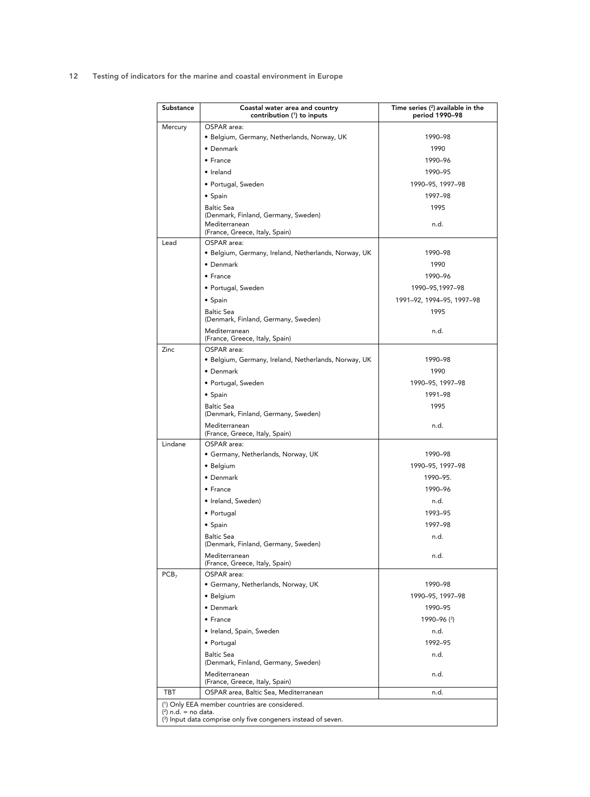| Substance             | Coastal water area and country<br>contribution (1) to inputs            | Time series (2) available in the<br>period 1990-98 |
|-----------------------|-------------------------------------------------------------------------|----------------------------------------------------|
| Mercury               | OSPAR area:                                                             |                                                    |
|                       | · Belgium, Germany, Netherlands, Norway, UK                             | 1990-98                                            |
|                       | • Denmark                                                               | 1990                                               |
|                       | $\bullet$ France                                                        | 1990-96                                            |
|                       | • Ireland                                                               | 1990-95                                            |
|                       | • Portugal, Sweden                                                      | 1990-95, 1997-98                                   |
|                       | • Spain                                                                 | 1997-98                                            |
|                       | <b>Baltic Sea</b><br>(Denmark, Finland, Germany, Sweden)                | 1995                                               |
|                       | Mediterranean<br>(France, Greece, Italy, Spain)                         | n.d.                                               |
| Lead                  | OSPAR area:                                                             |                                                    |
|                       | • Belgium, Germany, Ireland, Netherlands, Norway, UK                    | 1990-98                                            |
|                       | • Denmark                                                               | 1990                                               |
|                       | $\bullet$ France                                                        | 1990–96                                            |
|                       | • Portugal, Sweden                                                      | 1990-95,1997-98                                    |
|                       | • Spain                                                                 | 1991-92, 1994-95, 1997-98                          |
|                       | <b>Baltic Sea</b><br>(Denmark, Finland, Germany, Sweden)                | 1995                                               |
|                       | Mediterranean<br>(France, Greece, Italy, Spain)                         | n.d.                                               |
| Zinc                  | OSPAR area:                                                             |                                                    |
|                       | • Belgium, Germany, Ireland, Netherlands, Norway, UK                    | 1990-98                                            |
|                       | • Denmark                                                               | 1990                                               |
|                       | • Portugal, Sweden                                                      | 1990-95, 1997-98                                   |
|                       | $\bullet$ Spain                                                         | 1991-98                                            |
|                       | <b>Baltic Sea</b><br>(Denmark, Finland, Germany, Sweden)                | 1995                                               |
|                       | Mediterranean<br>(France, Greece, Italy, Spain)                         | n.d.                                               |
| Lindane               | OSPAR area:                                                             |                                                    |
|                       | • Germany, Netherlands, Norway, UK                                      | 1990-98                                            |
|                       | • Belgium                                                               | 1990-95, 1997-98                                   |
|                       | • Denmark                                                               | 1990-95.                                           |
|                       | • France                                                                | 1990-96                                            |
|                       | • Ireland, Sweden)                                                      | n.d.                                               |
|                       | • Portugal                                                              | 1993-95                                            |
|                       | • Spain                                                                 | 1997-98                                            |
|                       | <b>Baltic Sea</b><br>(Denmark, Finland, Germany, Sweden)                | n.d.                                               |
|                       | Mediterranean<br>(France, Greece, Italy, Spain)                         | n.d.                                               |
| PCB <sub>7</sub>      | OSPAR area:                                                             |                                                    |
|                       | • Germany, Netherlands, Norway, UK                                      | 1990-98                                            |
|                       | • Belgium                                                               | 1990-95, 1997-98                                   |
|                       | • Denmark                                                               | 1990-95                                            |
|                       | $\bullet$ France                                                        | 1990-96 (3)                                        |
|                       | • Ireland, Spain, Sweden                                                | n.d.                                               |
|                       | • Portugal                                                              | 1992-95                                            |
|                       | <b>Baltic Sea</b><br>(Denmark, Finland, Germany, Sweden)                | n.d.                                               |
|                       | Mediterranean                                                           | n.d.                                               |
| TBT                   | (France, Greece, Italy, Spain)<br>OSPAR area, Baltic Sea, Mediterranean | n.d.                                               |
|                       | (1) Only EEA member countries are considered.                           |                                                    |
| $(2)$ n.d. = no data. |                                                                         |                                                    |
|                       | (3) Input data comprise only five congeners instead of seven.           |                                                    |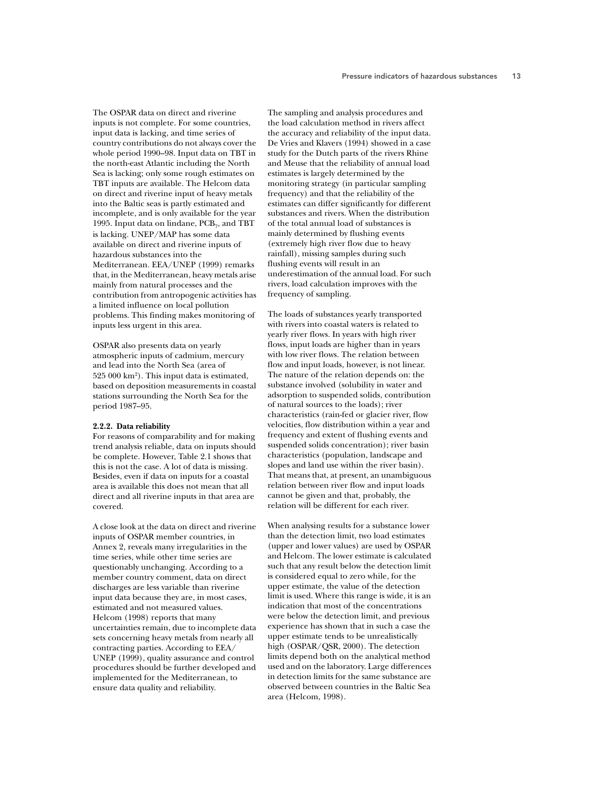The OSPAR data on direct and riverine inputs is not complete. For some countries, input data is lacking, and time series of country contributions do not always cover the whole period 1990–98. Input data on TBT in the north-east Atlantic including the North Sea is lacking; only some rough estimates on TBT inputs are available. The Helcom data on direct and riverine input of heavy metals into the Baltic seas is partly estimated and incomplete, and is only available for the year 1995. Input data on lindane, PCB<sub>7</sub>, and TBT is lacking. UNEP/MAP has some data available on direct and riverine inputs of hazardous substances into the Mediterranean. EEA/UNEP (1999) remarks that, in the Mediterranean, heavy metals arise mainly from natural processes and the contribution from antropogenic activities has a limited influence on local pollution problems. This finding makes monitoring of inputs less urgent in this area.

OSPAR also presents data on yearly atmospheric inputs of cadmium, mercury and lead into the North Sea (area of 525 000 km<sup>2</sup>). This input data is estimated, based on deposition measurements in coastal stations surrounding the North Sea for the period 1987-95.

#### 2.2.2. Data reliability

For reasons of comparability and for making trend analysis reliable, data on inputs should be complete. However, Table 2.1 shows that this is not the case. A lot of data is missing. Besides, even if data on inputs for a coastal area is available this does not mean that all direct and all riverine inputs in that area are covered

A close look at the data on direct and riverine inputs of OSPAR member countries, in Annex 2, reveals many irregularities in the time series, while other time series are questionably unchanging. According to a member country comment, data on direct discharges are less variable than riverine input data because they are, in most cases, estimated and not measured values. Helcom (1998) reports that many uncertainties remain, due to incomplete data sets concerning heavy metals from nearly all contracting parties. According to EEA/ UNEP (1999), quality assurance and control procedures should be further developed and implemented for the Mediterranean, to ensure data quality and reliability.

The sampling and analysis procedures and the load calculation method in rivers affect the accuracy and reliability of the input data. De Vries and Klavers (1994) showed in a case study for the Dutch parts of the rivers Rhine and Meuse that the reliability of annual load estimates is largely determined by the monitoring strategy (in particular sampling frequency) and that the reliability of the estimates can differ significantly for different substances and rivers. When the distribution of the total annual load of substances is mainly determined by flushing events (extremely high river flow due to heavy rainfall), missing samples during such flushing events will result in an underestimation of the annual load. For such rivers, load calculation improves with the frequency of sampling.

The loads of substances yearly transported with rivers into coastal waters is related to yearly river flows. In years with high river flows, input loads are higher than in years with low river flows. The relation between flow and input loads, however, is not linear. The nature of the relation depends on: the substance involved (solubility in water and adsorption to suspended solids, contribution of natural sources to the loads); river characteristics (rain-fed or glacier river, flow velocities, flow distribution within a year and frequency and extent of flushing events and suspended solids concentration); river basin characteristics (population, landscape and slopes and land use within the river basin). That means that, at present, an unambiguous relation between river flow and input loads cannot be given and that, probably, the relation will be different for each river.

When analysing results for a substance lower than the detection limit, two load estimates (upper and lower values) are used by OSPAR and Helcom. The lower estimate is calculated such that any result below the detection limit is considered equal to zero while, for the upper estimate, the value of the detection limit is used. Where this range is wide, it is an indication that most of the concentrations were below the detection limit, and previous experience has shown that in such a case the upper estimate tends to be unrealistically high (OSPAR/QSR, 2000). The detection limits depend both on the analytical method used and on the laboratory. Large differences in detection limits for the same substance are observed between countries in the Baltic Sea area (Helcom, 1998).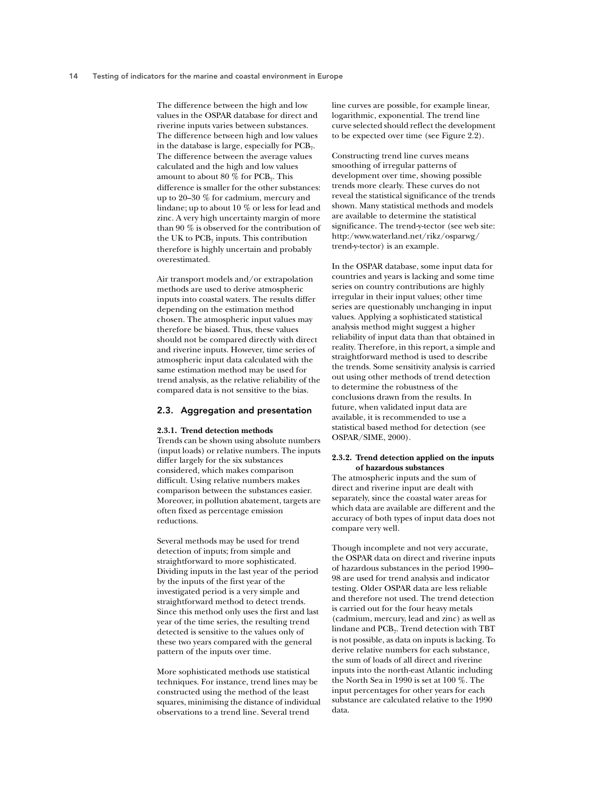The difference between the high and low values in the OSPAR database for direct and riverine inputs varies between substances. The difference between high and low values in the database is large, especially for  $PCB<sub>7</sub>$ . The difference between the average values calculated and the high and low values amount to about 80  $\%$  for PCB<sub>7</sub>. This difference is smaller for the other substances: up to  $20-30\%$  for cadmium, mercury and lindane; up to about 10  $\%$  or less for lead and zinc. A very high uncertainty margin of more than 90  $\%$  is observed for the contribution of the UK to  $PCB<sub>7</sub>$  inputs. This contribution therefore is highly uncertain and probably overestimated.

Air transport models and/or extrapolation methods are used to derive atmospheric inputs into coastal waters. The results differ depending on the estimation method chosen. The atmospheric input values may therefore be biased. Thus, these values should not be compared directly with direct and riverine inputs. However, time series of atmospheric input data calculated with the same estimation method may be used for trend analysis, as the relative reliability of the compared data is not sensitive to the bias.

## 2.3. Aggregation and presentation

#### 2.3.1. Trend detection methods

Trends can be shown using absolute numbers (input loads) or relative numbers. The inputs differ largely for the six substances considered, which makes comparison difficult. Using relative numbers makes comparison between the substances easier. Moreover, in pollution abatement, targets are often fixed as percentage emission reductions.

Several methods may be used for trend detection of inputs; from simple and straightforward to more sophisticated. Dividing inputs in the last year of the period by the inputs of the first year of the investigated period is a very simple and straightforward method to detect trends. Since this method only uses the first and last year of the time series, the resulting trend detected is sensitive to the values only of these two years compared with the general pattern of the inputs over time.

More sophisticated methods use statistical techniques. For instance, trend lines may be constructed using the method of the least squares, minimising the distance of individual observations to a trend line. Several trend

line curves are possible, for example linear, logarithmic, exponential. The trend line curve selected should reflect the development to be expected over time (see Figure 2.2).

Constructing trend line curves means smoothing of irregular patterns of development over time, showing possible trends more clearly. These curves do not reveal the statistical significance of the trends shown. Many statistical methods and models are available to determine the statistical significance. The trend-v-tector (see web site: http:/www.waterland.net/rikz/osparwg/ trend-y-tector) is an example.

In the OSPAR database, some input data for countries and years is lacking and some time series on country contributions are highly irregular in their input values; other time series are questionably unchanging in input values. Applying a sophisticated statistical analysis method might suggest a higher reliability of input data than that obtained in reality. Therefore, in this report, a simple and straightforward method is used to describe the trends. Some sensitivity analysis is carried out using other methods of trend detection to determine the robustness of the conclusions drawn from the results. In future, when validated input data are available, it is recommended to use a statistical based method for detection (see OSPAR/SIME, 2000).

#### 2.3.2. Trend detection applied on the inputs of hazardous substances

The atmospheric inputs and the sum of direct and riverine input are dealt with separately, since the coastal water areas for which data are available are different and the accuracy of both types of input data does not compare very well.

Though incomplete and not very accurate, the OSPAR data on direct and riverine inputs of hazardous substances in the period 1990-98 are used for trend analysis and indicator testing. Older OSPAR data are less reliable and therefore not used. The trend detection is carried out for the four heavy metals (cadmium, mercury, lead and zinc) as well as lindane and PCB<sub>7</sub>. Trend detection with TBT is not possible, as data on inputs is lacking. To derive relative numbers for each substance. the sum of loads of all direct and riverine inputs into the north-east Atlantic including the North Sea in 1990 is set at 100  $\%$ . The input percentages for other years for each substance are calculated relative to the 1990 data.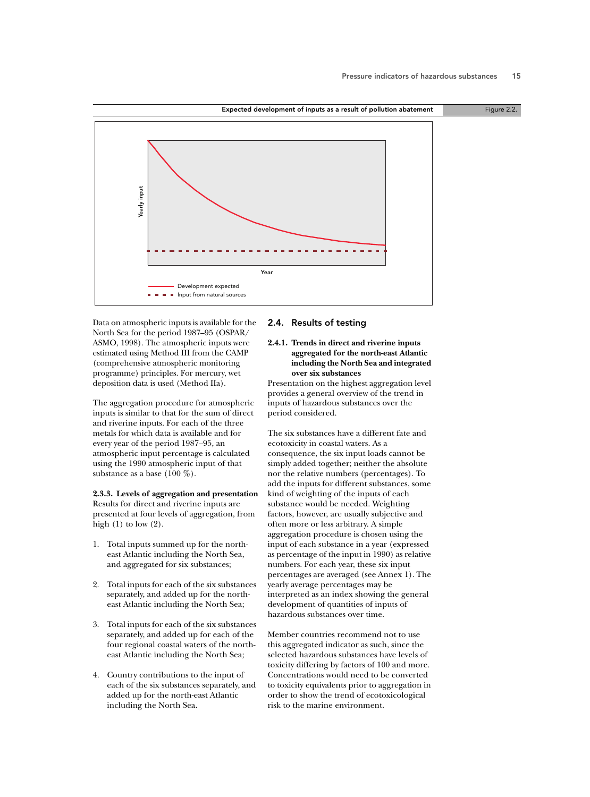#### Expected development of inputs as a result of pollution abatement Figure 2.2.



Data on atmospheric inputs is available for the North Sea for the period 1987–95 (OSPAR/ ASMO, 1998). The atmospheric inputs were estimated using Method III from the CAMP (comprehensive atmospheric monitoring programme) principles. For mercury, wet deposition data is used (Method IIa).

The aggregation procedure for atmospheric inputs is similar to that for the sum of direct and riverine inputs. For each of the three metals for which data is available and for every year of the period 1987–95, an atmospheric input percentage is calculated using the 1990 atmospheric input of that substance as a base  $(100\,\%).$ 

## 2.3.3. Levels of aggregation and presentation Results for direct and riverine inputs are presented at four levels of aggregation, from high  $(1)$  to low  $(2)$ .

- 1. Total inputs summed up for the northeast Atlantic including the North Sea, and aggregated for six substances;
- 2. Total inputs for each of the six substances separately, and added up for the northeast Atlantic including the North Sea;
- 3. Total inputs for each of the six substances separately, and added up for each of the four regional coastal waters of the northeast Atlantic including the North Sea;
- 4. Country contributions to the input of each of the six substances separately, and added up for the north-east Atlantic including the North Sea.

### 2.4. Results of testing

## 2.4.1. Trends in direct and riverine inputs aggregated for the north-east Atlantic including the North Sea and integrated over six substances

Presentation on the highest aggregation level provides a general overview of the trend in inputs of hazardous substances over the period considered.

The six substances have a different fate and ecotoxicity in coastal waters. As a consequence, the six input loads cannot be simply added together; neither the absolute nor the relative numbers (percentages). To add the inputs for different substances, some kind of weighting of the inputs of each substance would be needed. Weighting factors, however, are usually subjective and often more or less arbitrary. A simple aggregation procedure is chosen using the input of each substance in a year (expressed as percentage of the input in 1990) as relative numbers. For each year, these six input percentages are averaged (see Annex 1). The yearly average percentages may be interpreted as an index showing the general development of quantities of inputs of hazardous substances over time.

Member countries recommend not to use this aggregated indicator as such, since the selected hazardous substances have levels of toxicity differing by factors of 100 and more. Concentrations would need to be converted to toxicity equivalents prior to aggregation in order to show the trend of ecotoxicological risk to the marine environment.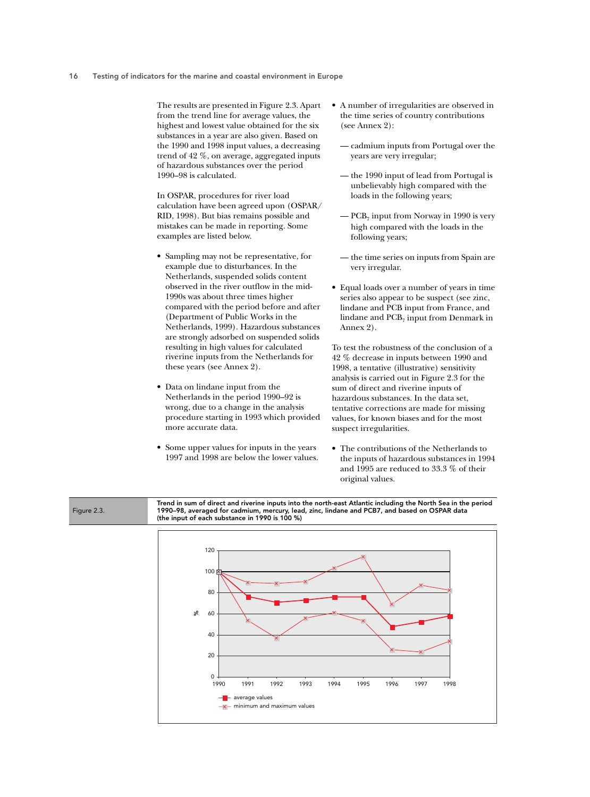The results are presented in Figure 2.3. Apart from the trend line for average values, the highest and low<del>est value obtained for the six</del> substances in a year are also given. Based on the 1990 and 1998 input values, a decreasing trend of 42 %, on average, aggregated inputs of hazardous substances over the period 1990–98 is calculated.

In OSPAR, procedures for river load calculation have been agreed upon (OSPAR/ RID, 1998). But bias remains possible and mistakes can be made in reporting. Some examples are listed below.

- Sampling may not be representative, for example due to disturbances. In the Netherlands, suspended solids content observed in the river outflow in the mid-1990s was about three times higher compared with the period before and after (Department of Public Works in the Netherlands, 1999). Hazardous substances are strongly adsorbed on suspended solids resulting in high values for calculated riverine inputs from the Netherlands for these years (see Annex 2).
- Data on lindane input from the Netherlands in the period 1990–92 is wrong, due to a change in the analysis procedure starting in 1993 which provided more accurate data.
- Some upper values for inputs in the years 1997 and 1998 are below the lower values.
- A number of irregularities are observed in the time series of country contributions (see Annex 2):
	- cadmium inputs from Portugal over the years are very irregular;
	- the  $1990$  input of lead from Portugal is unbelievably high compared with the loads in the following years;
	- $-$  PCB<sub>7</sub> input from Norway in 1990 is very high compared with the loads in the following years;
	- the time series on inputs from Spain are very irregular.
- Equal loads over a number of years in time series also appear to be suspect (see zinc, lindane and PCB input from France, and lindane and  $\mathrm{PCB}_7$  input from Denmark in Annex 2).

To test the robustness of the conclusion of a 42 % decrease in inputs between 1990 and 1998, a tentative (illustrative) sensitivity analysis is carried out in Figure 2.3 for the sum of direct and riverine inputs of hazardous substances. In the data set, tentative corrections are made for missing values, for known biases and for the most suspect irregularities.

• The contributions of the Netherlands to the inputs of hazardous substances in 1994 and 1995 are reduced to 33.3  $\%$  of their original values.

Trend in sum of direct and riverine inputs into the north-east Atlantic including the North Sea in the period 1990–98, averaged for cadmium, mercury, lead, zinc, lindane and PCB7, and based on OSPAR data (the input of each substance in 1990 is 100 %)



Figure 2.3.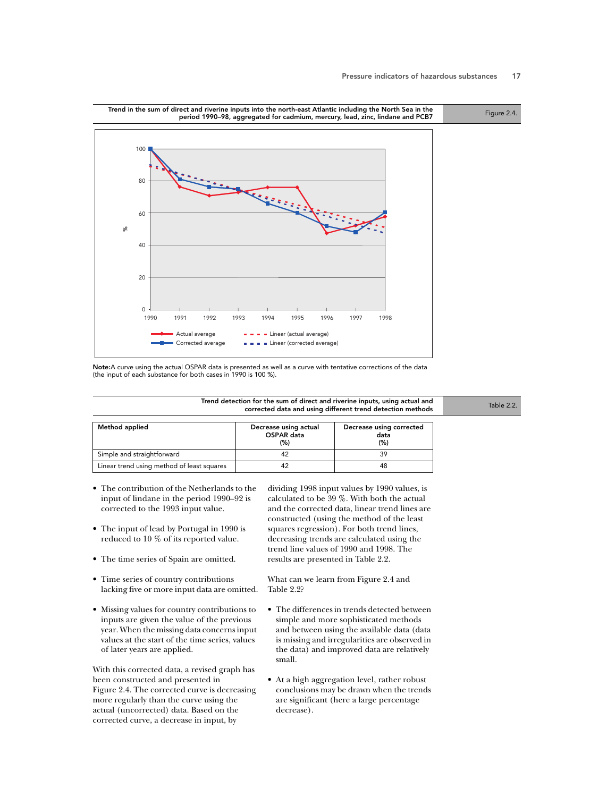



Note:A curve using the actual OSPAR data is presented as well as a curve with tentative corrections of the data (the input of each substance for both cases in 1990 is 100 %).

| Trend detection for the sum of direct and riverine inputs, using actual and | Table 2.2.<br>corrected data and using different trend detection methods |                                         |  |
|-----------------------------------------------------------------------------|--------------------------------------------------------------------------|-----------------------------------------|--|
| Method applied                                                              | Decrease using actual<br>OSPAR data<br>(%)                               | Decrease using corrected<br>data<br>(%) |  |
| Simple and straightforward                                                  | 42                                                                       | 39                                      |  |
| Linear trend using method of least squares                                  |                                                                          | 48                                      |  |

- $\bullet$  The contribution of the Netherlands to the input of lindane in the period 1990–92 is corrected to the 1993 input value.
- $\bullet$  The input of lead by Portugal in 1990 is reduced to  $10$  % of its reported value.
- The time series of Spain are omitted.
- Time series of country contributions lacking five or more input data are omitted.
- Missing values for country contributions to inputs are given the value of the previous year. When the missing data concerns input values at the start of the time series, values of later years are applied.

With this corrected data, a revised graph has been constructed and presented in Figure 2.4. The corrected curve is decreasing more regularly than the curve using the actual (uncorrected) data. Based on the corrected curve, a decrease in input, by

dividing 1998 input values by 1990 values, is calculated to be  $39\,\%$ . With both the actual and the corrected data, linear trend lines are constructed (using the method of the least squares regression). For both trend lines, decreasing trends are calculated using the trend line values of 1990 and 1998. The results are presented in Table 2.2.

What can we learn from Figure 2.4 and Table 2.2?

- $\bullet$  The differences in trends detected between simple and more sophisticated methods and between using the available data (data is missing and irregularities are observed in the data) and improved data are relatively small.
- At a high aggregation level, rather robust conclusions may be drawn when the trends are significant (here a large percentage decrease).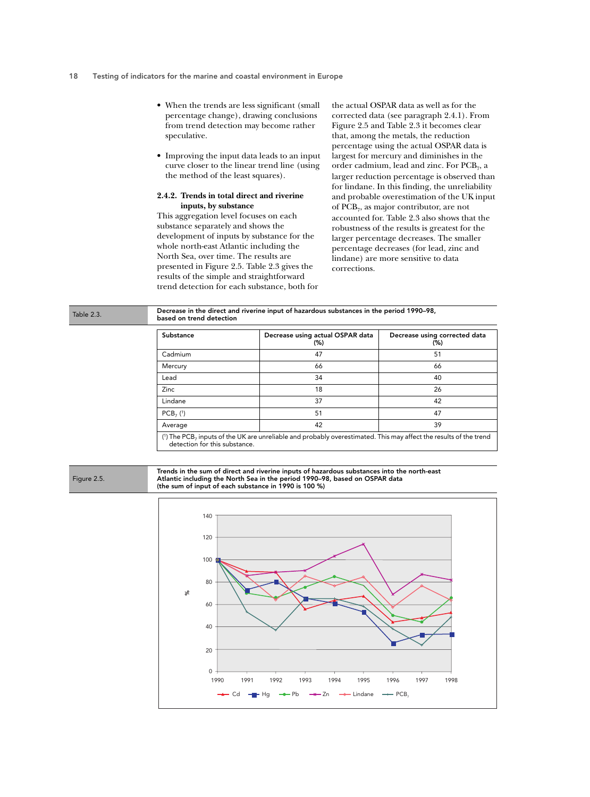- $\bullet$  When the trends are less significant (small percentage change), drawing conclusions from trend detection may become rather speculative.
- $\bullet$  Improving the input data leads to an input curve closer to the linear trend line (using the method of the least squares).

### 2.4.2. Trends in total direct and riverine inputs, by substance

This aggregation level focuses on each substance separately and shows the development of inputs by substance for the whole north-east Atlantic including the North Sea, over time. The results are presented in Figure 2.5. Table 2.3 gives the results of the simple and straightforward trend detection for each substance, both for the actual OSPAR data as well as for the corrected data (see paragraph 2.4.1). From Figure 2.5 and Table 2.3 it becomes clear that, among the metals, the reduction percentage using the actual OSPAR data is largest for mercury and diminishes in the order cadmium, lead and zinc. For PCB<sub>7</sub>, a larger reduction percentage is observed than for lindane. In this finding, the unreliability and probable overestimation of the UK input of PCB<sub>7</sub>, as major contributor, are not accounted for. Table 2.3 also shows that the robustness of the results is greatest for the larger percentage decreases. The smaller percentage decreases (for lead, zinc and lindane) are more sensitive to data corrections.

Table 2.3. Decrease in the direct and riverine input of hazardous substances in the period 1990–98, based on trend detection

| Substance   | Decrease using actual OSPAR data<br>(%) | Decrease using corrected data<br>(%) |
|-------------|-----------------------------------------|--------------------------------------|
| Cadmium     | 47                                      | 51                                   |
| Mercury     | 66                                      | 66                                   |
| Lead        | 34                                      | 40                                   |
| Zinc        | 18                                      | 26                                   |
| Lindane     | 37                                      | 42                                   |
| $PCB_7$ (1) | 51                                      | 47                                   |
| Average     | 42                                      | 39                                   |

( 1) The PCB7 inputs of the UK are unreliable and probably overestimated. This may affect the results of the trend detection for this substance.

Figure 2.5.

Trends in the sum of direct and riverine inputs of hazardous substances into the north-east Atlantic including the North Sea in the period 1990–98, based on OSPAR data (the sum of input of each substance in 1990 is 100 %)

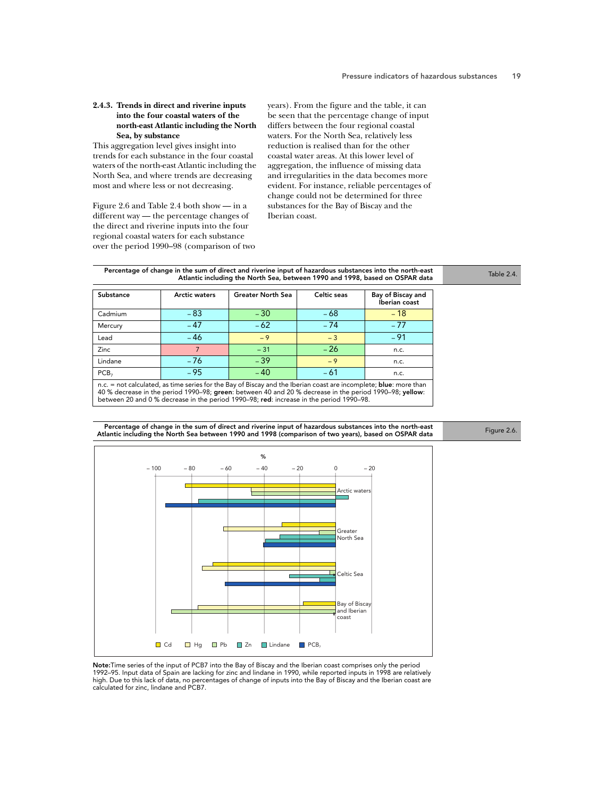## 2.4.3. Trends in direct and riverine inputs into the four coastal waters of the north-east Atlantic including the North Sea, by substance

This aggregation level gives insight into trends for each substance in the four coastal waters of the north-east Atlantic including the North Sea, and where trends are decreasing most and where less or not decreasing.

Figure 2.6 and Table 2.4 both show — in a different way — the percentage changes of the direct and riverine inputs into the four regional coastal waters for each substance over the period 1990–98 (comparison of two years). From the figure and the table, it can be seen that the percentage change of input differs between the four regional coastal waters. For the North Sea, relatively less reduction is realised than for the other coastal water areas. At this lower level of aggregation, the influence of missing data and irregularities in the data becomes more evident. For instance, reliable percentages of change could not be determined for three substances for the Bay of Biscay and the Iberian coast.

#### Percentage of change in the sum of direct and riverine input of hazardous substances into the north-east n the sum of direct and riverine input of hazardous substances into the north-east<br>Atlantic including the North Sea, between 1990 and 1998, based on OSPAR data

| Substance                                                                                                                                                                                                                                                                                                               | <b>Arctic waters</b> | <b>Greater North Sea</b> | Celtic seas | Bay of Biscay and<br>Iberian coast |  |  |
|-------------------------------------------------------------------------------------------------------------------------------------------------------------------------------------------------------------------------------------------------------------------------------------------------------------------------|----------------------|--------------------------|-------------|------------------------------------|--|--|
| Cadmium                                                                                                                                                                                                                                                                                                                 | $-83$                | $-30$                    | - 68        | $-18$                              |  |  |
| Mercury                                                                                                                                                                                                                                                                                                                 | $-47$                | $-62$                    | $-74$       | $-77$                              |  |  |
| Lead                                                                                                                                                                                                                                                                                                                    | $-46$                | $-9$                     | $-3$        | $-91$                              |  |  |
| Zinc.                                                                                                                                                                                                                                                                                                                   | 7                    | $-31$                    | $-26$       | n.c.                               |  |  |
| Lindane                                                                                                                                                                                                                                                                                                                 | - 76                 | $-39$                    | $-9$        | n.c.                               |  |  |
| PCB <sub>7</sub>                                                                                                                                                                                                                                                                                                        | n.c.                 |                          |             |                                    |  |  |
| n.c. = not calculated, as time series for the Bay of Biscay and the Iberian coast are incomplete; blue: more than<br>40 % decrease in the period 1990–98; green: between 40 and 20 % decrease in the period 1990–98; yellow:<br>between 20 and 0 % decrease in the period 1990–98; red: increase in the period 1990–98. |                      |                          |             |                                    |  |  |



Percentage of change in the sum of direct and riverine input of hazardous substances into the north-east Atlantic including the North Sea between 1990 and 1998 (comparison of two years), based on OSPAR data Figure 2.6.

Note:Time series of the input of PCB7 into the Bay of Biscay and the Iberian coast comprises only the period 1992–95. Input data of Spain are lacking for zinc and lindane in 1990, while reported inputs in 1998 are relatively high. Due to this lack of data, no percentages of change of inputs into the Bay of Biscay and the Iberian coast are calculated for zinc, lindane and PCB7.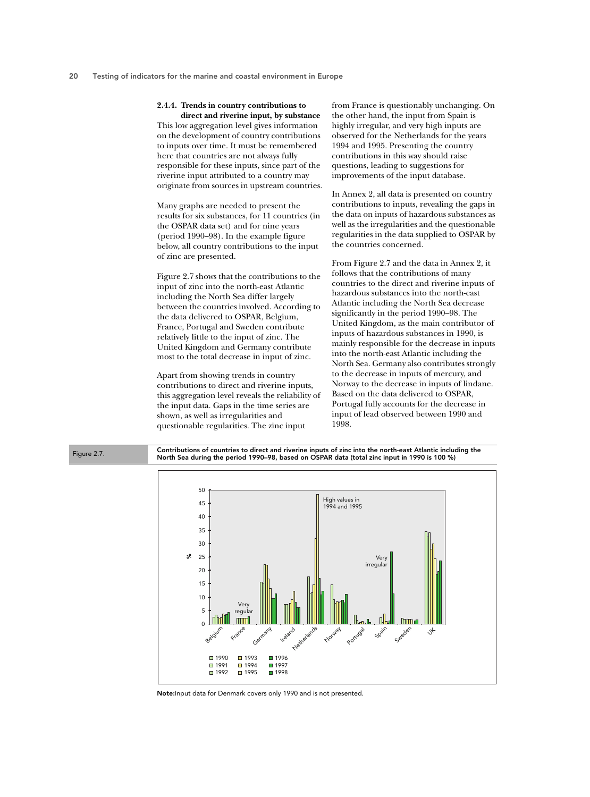## 2.4.4. Trends in country contributions to

direct and riverine input, by substance This low aggregation level gives information on the development of country contributions to inputs over time. It must be remembered here that countries are not always fully responsible for these inputs, since part of the riverine input attributed to a country may originate from sources in upstream countries.

Many graphs are needed to present the results for six substances, for 11 countries (in the OSPAR data set) and for nine years (period 1990–98). In the example figure below, all country contributions to the input of zinc are presented.

Figure 2.7 shows that the contributions to the input of zinc into the north-east Atlantic including the North Sea differ largely between the countries involved. According to the data delivered to OSPAR, Belgium, France, Portugal and Sweden contribute relatively little to the input of zinc. The United Kingdom and Germany contribute most to the total decrease in input of zinc.

Apart from showing trends in country contributions to direct and riverine inputs, this aggregation level reveals the reliability of the input data. Gaps in the time series are shown, as well as irregularities and questionable regularities. The zinc input

from France is questionably unchanging. On the other hand, the input from Spain is highly irregular, and very high inputs are observed for the Netherlands for the years 1994 and 1995. Presenting the country contributions in this way should raise questions, leading to suggestions for improvements of the input database.

In Annex 2, all data is presented on country contributions to inputs, revealing the gaps in the data on inputs of hazardous substances as well as the irregularities and the questionable regularities in the data supplied to OSPAR by the countries concerned.

From Figure 2.7 and the data in Annex 2, it follows that the contributions of many countries to the direct and riverine inputs of hazardous substances into the north-east Atlantic including the North Sea decrease significantly in the period 1990–98. The United Kingdom, as the main contributor of inputs of hazardous substances in 1990, is mainly responsible for the decrease in inputs into the north-east Atlantic including the North Sea. Germany also contributes strongly to the decrease in inputs of mercury, and Norway to the decrease in inputs of lindane. Based on the data delivered to OSPAR, Portugal fully accounts for the decrease in input of lead observed between 1990 and 1998.



Note:Input data for Denmark covers only 1990 and is not presented.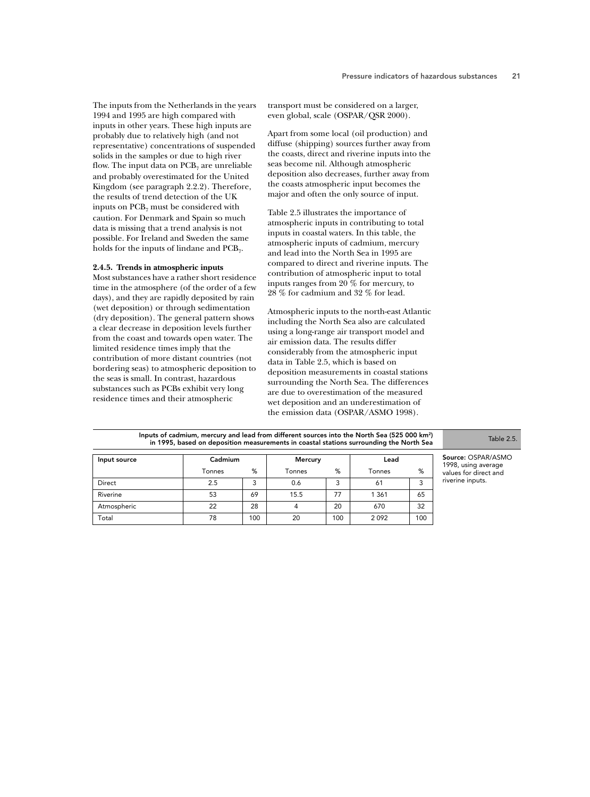The inputs from the Netherlands in the years 1994 and 1995 are high compared with inputs in other years. These high inputs are probably due to relatively high (and not representative) concentrations of suspended solids in the samples or due to high river flow. The input data on  $\mathrm{PCB}_7$  are unreliable and probably overestimated for the United Kingdom (see paragraph 2.2.2). Therefore, the results of trend detection of the UK inputs on  $\mathrm{PCB}_7$  must be considered with caution. For Denmark and Spain so much data is missing that a trend analysis is not possible. For Ireland and Sweden the same holds for the inputs of lindane and  $\mathrm{PCB}_7$ .

#### 2.4.5. Trends in atmospheric inputs

Most substances have a rather short residence time in the atmosphere (of the order of a few days), and they are rapidly deposited by rain (wet deposition) or through sedimentation (dry deposition). The general pattern shows a clear decrease in deposition levels further from the coast and towards open water. The limited residence times imply that the contribution of more distant countries (not bordering seas) to atmospheric deposition to the seas is small. In contrast, hazardous substances such as PCBs exhibit very long residence times and their atmospheric

transport must be considered on a larger, even global, scale (OSPAR/QSR 2000).

Apart from some local (oil production) and diffuse (shipping) sources further away from the coasts, direct and riverine inputs into the seas become nil. Although atmospheric deposition also decreases, further away from the coasts atmospheric input becomes the major and often the only source of input.

Table 2.5 illustrates the importance of atmospheric inputs in contributing to total inputs in coastal waters. In this table, the atmospheric inputs of cadmium, mercury and lead into the North Sea in 1995 are compared to direct and riverine inputs. The contribution of atmospheric input to total inputs ranges from  $20\ \%$  for mercury, to  $28~\%$  for cadmium and  $32~\%$  for lead.

Atmospheric inputs to the north-east Atlantic including the North Sea also are calculated using a long-range air transport model and air emission data. The results differ considerably from the atmospheric input data in Table 2.5, which is based on deposition measurements in coastal stations surrounding the North Sea. The differences are due to overestimation of the measured wet deposition and an underestimation of the emission data (OSPAR/ASMO 1998).

| Input source | Cadmium |     | Mercury |     | Lead    |     |
|--------------|---------|-----|---------|-----|---------|-----|
|              | Tonnes  | %   | Tonnes  | %   | Tonnes  | %   |
| Direct       | 2.5     | 3   | 0.6     | 3   | 61      | 3   |
| Riverine     | 53      | 69  | 15.5    | 77  | 1 3 6 1 | 65  |
| Atmospheric  | 22      | 28  | 4       | 20  | 670     | 32  |
| Total        | 78      | 100 | 20      | 100 | 2092    | 100 |

Inputs of cadmium, mercury and lead from different sources into the North Sea (525 000 km2)

uts or cadmium, mercury and lead from different sources into the North Sea (525 000 km²) Table 2.5.<br>In 1995, based on deposition measurements in coastal stations surrounding the North Sea Table 2.5.

Source: OSPAR/ASMO 1998, using average values for direct and riverine inputs.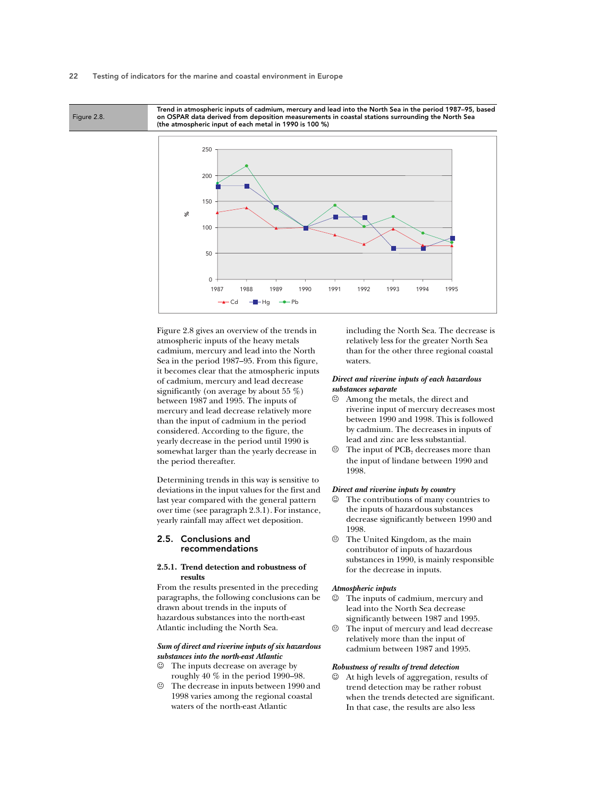Figure 2.8.

Trend in atmospheric inputs of cadmium, mercury and lead into the North Sea in the period 1987–95, based on OSPAR data derived from deposition measurements in coastal stations surrounding the North Sea (the atmospheric input of each metal in 1990 is 100 %)



Figure 2.8 gives an overview of the trends in atmospheric inputs of the heavy metals cadmium, mercury and lead into the North Sea in the period 1987–95. From this figure, it becomes clear that the atmospheric inputs of cadmium, mercury and lead decrease significantly (on average by about 55  $\%$ ) between 1987 and 1995. The inputs of mercury and lead decrease relatively more than the input of cadmium in the period considered. According to the figure, the yearly decrease in the period until 1990 is somewhat larger than the yearly decrease in the period thereafter.

Determining trends in this way is sensitive to deviations in the input values for the first and last year compared with the general pattern over time (see paragraph 2.3.1). For instance, yearly rainfall may affect wet deposition.

## 2.5. Conclusions and recommendations

#### 2.5.1. Trend detection and robustness of **results**

From the results presented in the preceding paragraphs, the following conclusions can be drawn about trends in the inputs of hazardous substances into the north-east Atlantic including the North Sea.

### Sum of direct and riverine inputs of six hazardous substances into the north-east Atlantic

- $\odot$  The inputs decrease on average by roughly  $40~\%$  in the period 1990–98.
- $\oplus$  The decrease in inputs between 1990 and 1998 varies among the regional coastal waters of the north-east Atlantic

including the North Sea. The decrease is relatively less for the greater North Sea than for the other three regional coastal waters.

## Direct and riverine inputs of each hazardous substances separate

- $\oplus$  Among the metals, the direct and riverine input of mercury decreases most between 1990 and 1998. This is followed by cadmium. The decreases in inputs of lead and zinc are less substantial.
- $\oplus$  The input of PCB<sub>7</sub> decreases more than the input of lindane between 1990 and 1998.

## Direct and riverine inputs by country

- $\odot$  The contributions of many countries to the inputs of hazardous substances decrease significantly between 1990 and 1998
- $\oplus$  The United Kingdom, as the main contributor of inputs of hazardous substances in 1990, is mainly responsible for the decrease in inputs.

#### Atmospheric inputs

- $\odot$  The inputs of cadmium, mercury and lead into the North Sea decrease significantly between 1987 and 1995.
- $\oplus$  The input of mercury and lead decrease relatively more than the input of cadmium between 1987 and 1995.

#### Robustness of results of trend detection

 $\odot$  At high levels of aggregation, results of trend detection may be rather robust when the trends detected are significant. In that case, the results are also less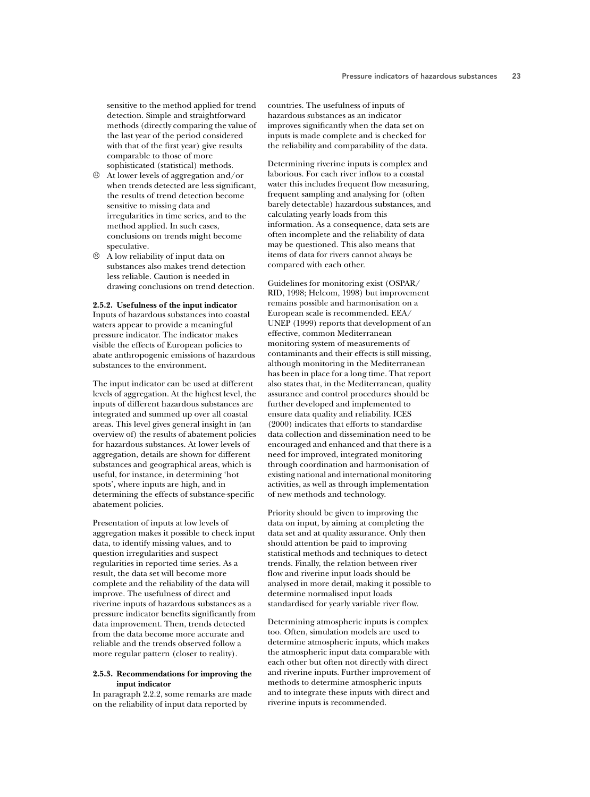sensitive to the method applied for trend detection. Simple and straightforward methods (directly comparing the value of the last year of the period considered with that of the first year) give results comparable to those of more sophisticated (statistical) methods.

- $\odot$  At lower levels of aggregation and/or when trends detected are less significant, the results of trend detection become sensitive to missing data and irregularities in time series, and to the method applied. In such cases, conclusions on trends might become speculative.
- $\odot$  A low reliability of input data on substances also makes trend detection less reliable. Caution is needed in drawing conclusions on trend detection.

#### 2.5.2. Usefulness of the input indicator

Inputs of hazardous substances into coastal waters appear to provide a meaningful pressure indicator. The indicator makes visible the effects of European policies to abate anthropogenic emissions of hazardous substances to the environment.

The input indicator can be used at different levels of aggregation. At the highest level, the inputs of different hazardous substances are integrated and summed up over all coastal areas. This level gives general insight in (an overview of) the results of abatement policies for hazardous substances. At lower levels of aggregation, details are shown for different substances and geographical areas, which is useful, for instance, in determining 'hot spots', where inputs are high, and in determining the effects of substance-specific abatement policies.

Presentation of inputs at low levels of aggregation makes it possible to check input data, to identify missing values, and to question irregularities and suspect regularities in reported time series. As a result, the data set will become more complete and the reliability of the data will improve. The usefulness of direct and riverine inputs of hazardous substances as a pressure indicator benefits significantly from data improvement. Then, trends detected from the data become more accurate and reliable and the trends observed follow a more regular pattern (closer to reality).

#### 2.5.3. Recommendations for improving the input indicator

In paragraph 2.2.2, some remarks are made on the reliability of input data reported by

countries. The usefulness of inputs of hazardous substances as an indicator improves significantly when the data set on inputs is made complete and is checked for the reliability and comparability of the data.

Determining riverine inputs is complex and laborious. For each river inflow to a coastal water this includes frequent flow measuring, frequent sampling and analysing for (often barely detectable) hazardous substances, and calculating yearly loads from this information. As a consequence, data sets are often incomplete and the reliability of data may be questioned. This also means that items of data for rivers cannot always be compared with each other.

Guidelines for monitoring exist (OSPAR/ RID, 1998; Helcom, 1998) but improvement remains possible and harmonisation on a European scale is recommended. EEA/ UNEP (1999) reports that development of an effective, common Mediterranean monitoring system of measurements of contaminants and their effects is still missing. although monitoring in the Mediterranean has been in place for a long time. That report also states that, in the Mediterranean, quality assurance and control procedures should be further developed and implemented to ensure data quality and reliability. ICES (2000) indicates that efforts to standardise data collection and dissemination need to be encouraged and enhanced and that there is a need for improved, integrated monitoring through coordination and harmonisation of existing national and international monitoring activities, as well as through implementation of new methods and technology.

Priority should be given to improving the data on input, by aiming at completing the data set and at quality assurance. Only then should attention be paid to improving statistical methods and techniques to detect trends. Finally, the relation between river flow and riverine input loads should be analysed in more detail, making it possible to determine normalised input loads standardised for yearly variable river flow.

Determining atmospheric inputs is complex too. Often, simulation models are used to determine atmospheric inputs, which makes the atmospheric input data comparable with each other but often not directly with direct and riverine inputs. Further improvement of methods to determine atmospheric inputs and to integrate these inputs with direct and riverine inputs is recommended.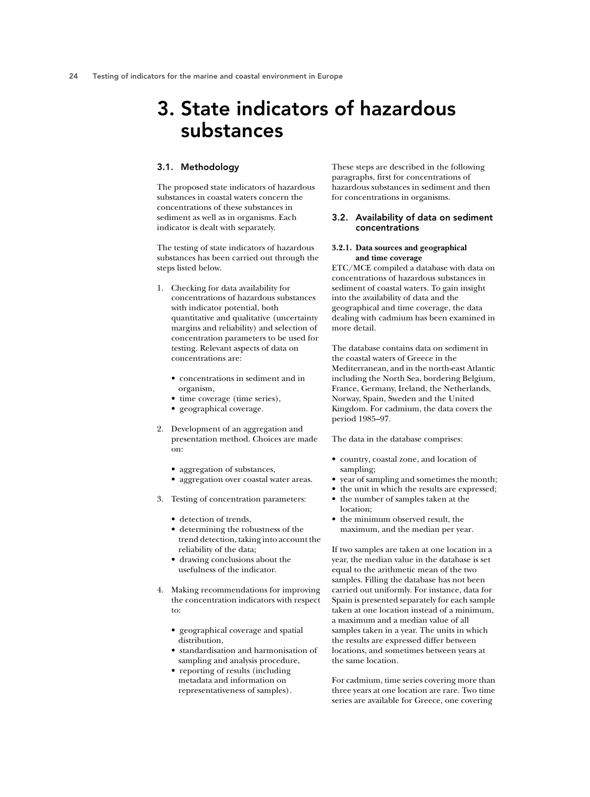## 3. State indicators of hazardous substances

## 3.1. Methodology

The proposed state indicators of hazardous substances in coastal waters concern the concentrations of these substances in sediment as well as in organisms. Each indicator is dealt with separately.

The testing of state indicators of hazardous substances has been carried out through the steps listed below.

- 1. Checking for data availability for concentrations of hazardous substances with indicator potential, both quantitative and qualitative (uncertainty margins and reliability) and selection of concentration parameters to be used for testing. Relevant aspects of data on concentrations are:
	- concentrations in sediment and in organism,
	- time coverage (time series),
	- geographical coverage.
- 2. Development of an aggregation and presentation method. Choices are made on:
	- aggregation of substances,
	- · aggregation over coastal water areas.
- 3. Testing of concentration parameters:
	- detection of trends,
	- determining the robustness of the trend detection, taking into account the reliability of the data;
	- drawing conclusions about the usefulness of the indicator.
- 4. Making recommendations for improving the concentration indicators with respect  $\mathbf{to}$ :
	- geographical coverage and spatial distribution,
	- standardisation and harmonisation of sampling and analysis procedure,
	- reporting of results (including metadata and information on representativeness of samples).

These steps are described in the following paragraphs, first for concentrations of hazardous substances in sediment and then for concentrations in organisms.

## 3.2. Availability of data on sediment concentrations

### 3.2.1. Data sources and geographical and time coverage

ETC/MCE compiled a database with data on concentrations of hazardous substances in sediment of coastal waters. To gain insight into the availability of data and the geographical and time coverage, the data dealing with cadmium has been examined in more detail.

The database contains data on sediment in the coastal waters of Greece in the Mediterranean, and in the north-east Atlantic including the North Sea, bordering Belgium, France, Germany, Ireland, the Netherlands, Norway, Spain, Sweden and the United Kingdom. For cadmium, the data covers the period 1985–97.

The data in the database comprises:

- country, coastal zone, and location of sampling:
- year of sampling and sometimes the month;
- the unit in which the results are expressed;
- $\bullet$ the number of samples taken at the location:
- the minimum observed result, the maximum, and the median per year.

If two samples are taken at one location in a year, the median value in the database is set equal to the arithmetic mean of the two samples. Filling the database has not been carried out uniformly. For instance, data for Spain is presented separately for each sample taken at one location instead of a minimum, a maximum and a median value of all samples taken in a year. The units in which the results are expressed differ between locations, and sometimes between years at the same location.

For cadmium, time series covering more than three years at one location are rare. Two time series are available for Greece, one covering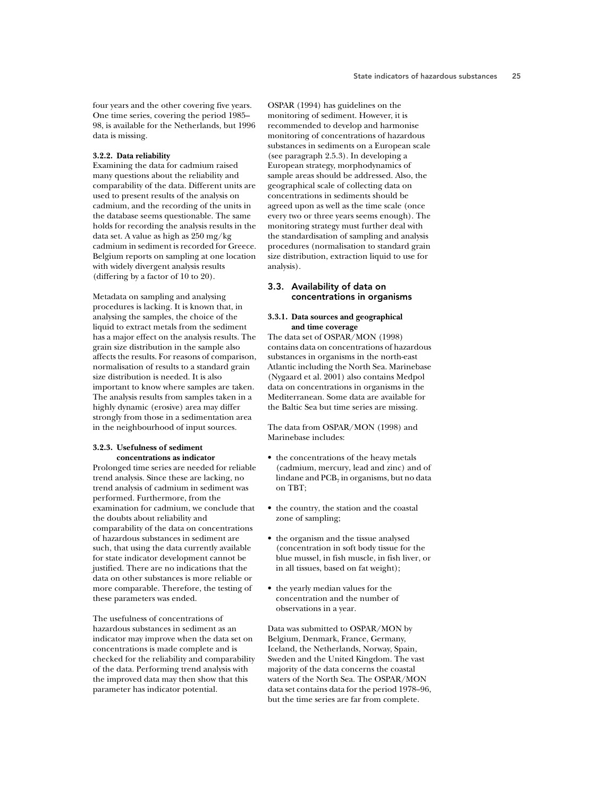four years and the other covering five years. One time series, covering the period 1985– 98, is available for the Netherlands, but 1996 data is missing.

#### 3.2.2. Data reliability

Examining the data for cadmium raised many questions about the reliability and comparability of the data. Different units are used to present results of the analysis on cadmium, and the recording of the units in the database seems questionable. The same holds for recording the analysis results in the data set. A value as high as 250 mg/kg cadmium in sediment is recorded for Greece. Belgium reports on sampling at one location with widely divergent analysis results (differing by a factor of 10 to 20).

Metadata on sampling and analysing procedures is lacking. It is known that, in analysing the samples, the choice of the liquid to extract metals from the sediment has a major effect on the analysis results. The grain size distribution in the sample also affects the results. For reasons of comparison, normalisation of results to a standard grain size distribution is needed. It is also important to know where samples are taken. The analysis results from samples taken in a highly dynamic (erosive) area may differ strongly from those in a sedimentation area in the neighbourhood of input sources.

#### 3.2.3. Usefulness of sediment concentrations as indicator

Prolonged time series are needed for reliable trend analysis. Since these are lacking, no trend analysis of cadmium in sediment was performed. Furthermore, from the examination for cadmium, we conclude that the doubts about reliability and comparability of the data on concentrations of hazardous substances in sediment are such, that using the data currently available for state indicator development cannot be justified. There are no indications that the data on other substances is more reliable or more comparable. Therefore, the testing of these parameters was ended.

The usefulness of concentrations of hazardous substances in sediment as an indicator may improve when the data set on concentrations is made complete and is checked for the reliability and comparability of the data. Performing trend analysis with the improved data may then show that this parameter has indicator potential.

OSPAR (1994) has guidelines on the monitoring of sediment. However, it is recommended to develop and harmonise monitoring of concentrations of hazardous substances in sediments on a European scale (see paragraph 2.5.3). In developing a European strategy, morphodynamics of sample areas should be addressed. Also, the geographical scale of collecting data on concentrations in sediments should be agreed upon as well as the time scale (once every two or three years seems enough). The monitoring strategy must further deal with the standardisation of sampling and analysis procedures (normalisation to standard grain size distribution, extraction liquid to use for analysis).

## 3.3. Availability of data on concentrations in organisms

### 3.3.1. Data sources and geographical and time coverage

The data set of OSPAR/MON (1998) contains data on concentrations of hazardous substances in organisms in the north-east Atlantic including the North Sea. Marinebase (Nygaard et al. 2001) also contains Medpol data on concentrations in organisms in the Mediterranean. Some data are available for the Baltic Sea but time series are missing.

The data from OSPAR/MON (1998) and Marinebase includes:

- the concentrations of the heavy metals (cadmium, mercury, lead and zinc) and of lindane and  $PCB<sub>7</sub>$  in organisms, but no data on TBT;
- the country, the station and the coastal zone of sampling;
- the organism and the tissue analysed (concentration in soft body tissue for the blue mussel, in fish muscle, in fish liver, or in all tissues, based on fat weight);
- the yearly median values for the  $\bullet$ concentration and the number of observations in a year.

Data was submitted to OSPAR/MON by Belgium, Denmark, France, Germany, Iceland, the Netherlands, Norway, Spain, Sweden and the United Kingdom. The vast majority of the data concerns the coastal waters of the North Sea. The OSPAR/MON data set contains data for the period 1978-96, but the time series are far from complete.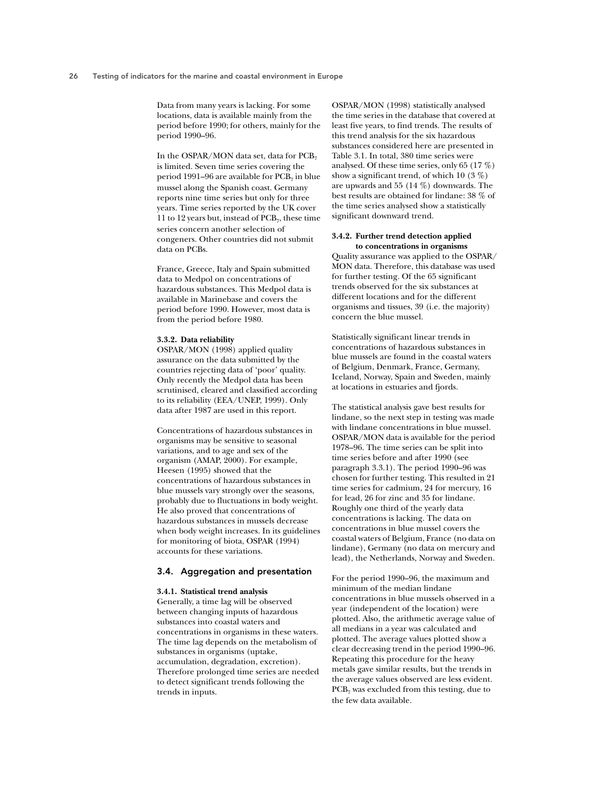Data from many years is lacking. For some locations, data is available mainly from the period before 1990; for others, mainly for the period 1990-96.

In the OSPAR/MON data set, data for PCB<sub>7</sub> is limited. Seven time series covering the period 1991–96 are available for  $PCB<sub>7</sub>$  in blue mussel along the Spanish coast. Germany reports nine time series but only for three years. Time series reported by the UK cover 11 to 12 years but, instead of PCB<sub>7</sub>, these time series concern another selection of congeners. Other countries did not submit data on PCBs.

France, Greece, Italy and Spain submitted data to Medpol on concentrations of hazardous substances. This Medpol data is available in Marinebase and covers the period before 1990. However, most data is from the period before 1980.

#### 3.3.2. Data reliability

OSPAR/MON (1998) applied quality assurance on the data submitted by the countries rejecting data of 'poor' quality. Only recently the Medpol data has been scrutinised, cleared and classified according to its reliability (EEA/UNEP, 1999). Only data after 1987 are used in this report.

Concentrations of hazardous substances in organisms may be sensitive to seasonal variations, and to age and sex of the organism (AMAP, 2000). For example, Heesen (1995) showed that the concentrations of hazardous substances in blue mussels vary strongly over the seasons, probably due to fluctuations in body weight. He also proved that concentrations of hazardous substances in mussels decrease when body weight increases. In its guidelines for monitoring of biota, OSPAR (1994) accounts for these variations.

## 3.4. Aggregation and presentation

#### 3.4.1. Statistical trend analysis

Generally, a time lag will be observed between changing inputs of hazardous substances into coastal waters and concentrations in organisms in these waters. The time lag depends on the metabolism of substances in organisms (uptake, accumulation, degradation, excretion). Therefore prolonged time series are needed to detect significant trends following the trends in inputs.

OSPAR/MON (1998) statistically analysed the time series in the database that covered at least five years, to find trends. The results of this trend analysis for the six hazardous substances considered here are presented in Table 3.1. In total, 380 time series were analysed. Of these time series, only 65 (17  $\%$ ) show a significant trend, of which 10  $(3\%)$ are upwards and 55 (14  $\%$ ) downwards. The best results are obtained for lindane: 38 % of the time series analysed show a statistically significant downward trend.

#### 3.4.2. Further trend detection applied to concentrations in organisms

Quality assurance was applied to the OSPAR/ MON data. Therefore, this database was used for further testing. Of the 65 significant trends observed for the six substances at different locations and for the different organisms and tissues, 39 (i.e. the majority) concern the blue mussel.

Statistically significant linear trends in concentrations of hazardous substances in blue mussels are found in the coastal waters of Belgium, Denmark, France, Germany, Iceland, Norway, Spain and Sweden, mainly at locations in estuaries and fjords.

The statistical analysis gave best results for lindane, so the next step in testing was made with lindane concentrations in blue mussel. OSPAR/MON data is available for the period 1978–96. The time series can be split into time series before and after 1990 (see paragraph 3.3.1). The period 1990–96 was chosen for further testing. This resulted in 21 time series for cadmium, 24 for mercury, 16 for lead, 26 for zinc and 35 for lindane. Roughly one third of the yearly data concentrations is lacking. The data on concentrations in blue mussel covers the coastal waters of Belgium, France (no data on lindane), Germany (no data on mercury and lead), the Netherlands, Norway and Sweden.

For the period 1990–96, the maximum and minimum of the median lindane concentrations in blue mussels observed in a year (independent of the location) were plotted. Also, the arithmetic average value of all medians in a year was calculated and plotted. The average values plotted show a clear decreasing trend in the period 1990–96. Repeating this procedure for the heavy metals gave similar results, but the trends in the average values observed are less evident.  $PCB<sub>7</sub>$  was excluded from this testing, due to the few data available.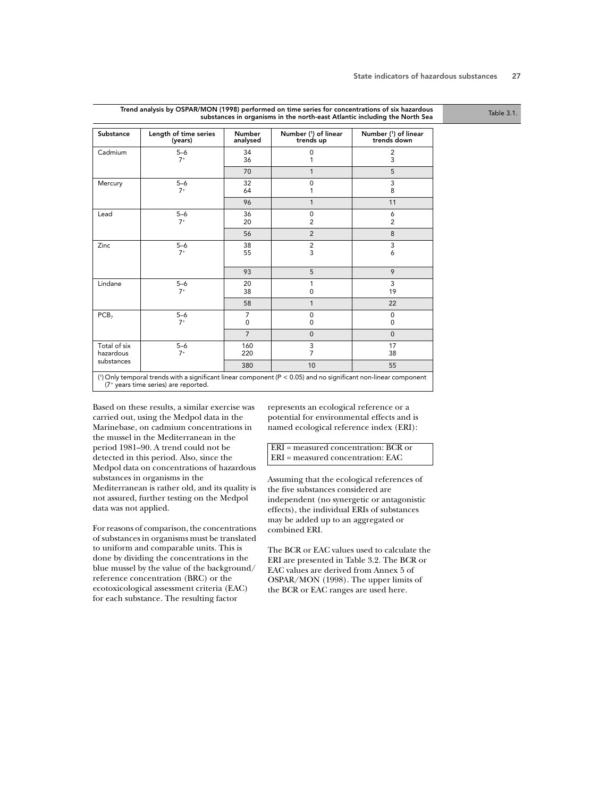#### Trend analysis by OSPAR/MON (1998) performed on time series for concentrations of six hazardous INON (1998) performed on time series for concentrations of six hazardous<br>substances in organisms in the north-east Atlantic including the North Sea

| Substance        | Length of time series<br>(years)                                                                                | <b>Number</b><br>analysed | Number (1) of linear<br>trends up | Number (1) of linear<br>trends down |
|------------------|-----------------------------------------------------------------------------------------------------------------|---------------------------|-----------------------------------|-------------------------------------|
| Cadmium          | $5 - 6$                                                                                                         | 34                        | 0                                 | $\boldsymbol{2}$                    |
|                  | $7+$                                                                                                            | 36                        | 1                                 | 3                                   |
|                  |                                                                                                                 | 70                        | $\mathbf{1}$                      | 5                                   |
| Mercury          | $5 - 6$                                                                                                         | 32                        | 0                                 | $\mathsf 3$                         |
|                  | $7+$                                                                                                            | 64                        | 1                                 | 8                                   |
|                  |                                                                                                                 | 96                        | $\mathbf{1}$                      | 11                                  |
| Lead             | $5 - 6$                                                                                                         | 36                        | $\mathsf{O}\xspace$               | 6                                   |
|                  | $7+$                                                                                                            | 20                        | $\overline{2}$                    | $\overline{2}$                      |
|                  |                                                                                                                 | 56                        | $\overline{2}$                    | 8                                   |
| Zinc             | $5 - 6$                                                                                                         | 38                        | $\mathbf 2$                       | $\mathsf 3$                         |
|                  | $7+$                                                                                                            | 55                        | 3                                 | 6                                   |
|                  |                                                                                                                 | 93                        | 5                                 | 9                                   |
| Lindane          | $5 - 6$                                                                                                         | 20                        | 1                                 | 3                                   |
|                  | $7^+$                                                                                                           | 38                        | $\mathbf 0$                       | 19                                  |
|                  |                                                                                                                 | 58                        | $\mathbf{1}$                      | 22                                  |
| PCB <sub>7</sub> | $5 - 6$                                                                                                         | $\overline{7}$            | $\mathbf 0$                       | 0                                   |
|                  | $7+$                                                                                                            | $\mathbf 0$               | 0                                 | 0                                   |
|                  |                                                                                                                 | $\overline{7}$            | $\mathsf 0$                       | $\mathbf 0$                         |
| Total of six     | $5 - 6$                                                                                                         | 160                       | $\mathsf 3$                       | 17                                  |
| hazardous        | $7+$                                                                                                            | 220                       | $\overline{7}$                    | 38                                  |
| substances       |                                                                                                                 | 380                       | 10                                | 55                                  |
|                  | (1) Only temporal trends with a significant linear component (P < 0.05) and no significant non-linear component |                           |                                   |                                     |

(7+ years time series) are reported.

Based on these results, a similar exercise was carried out, using the Medpol data in the Marinebase, on cadmium concentrations in the mussel in the Mediterranean in the period 1981–90. A trend could not be detected in this period. Also, since the Medpol data on concentrations of hazardous substances in organisms in the Mediterranean is rather old, and its quality is not assured, further testing on the Medpol data was not applied.

For reasons of comparison, the concentrations of substances in organisms must be translated to uniform and comparable units. This is done by dividing the concentrations in the blue mussel by the value of the background/ reference concentration (BRC) or the ecotoxicological assessment criteria (EAC) for each substance. The resulting factor

represents an ecological reference or a potential for environmental effects and is named ecological reference index (ERI):

ERI = measured concentration: BCR or ERI = measured concentration: EAC

Assuming that the ecological references of the five substances considered are independent (no synergetic or antagonistic effects), the individual ERIs of substances may be added up to an aggregated or combined ERI.

The BCR or EAC values used to calculate the ERI are presented in Table 3.2. The BCR or EAC values are derived from Annex 5 of OSPAR/MON (1998). The upper limits of the BCR or EAC ranges are used here.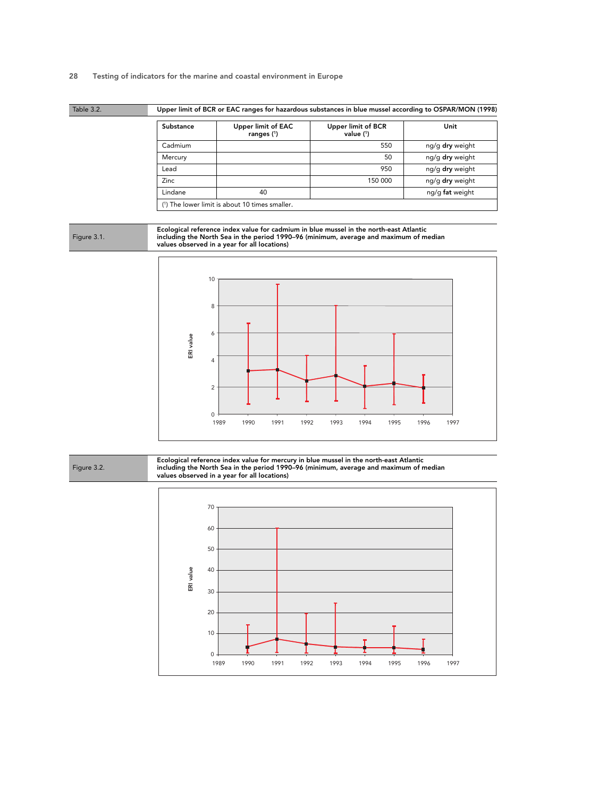Table 3.2. Upper limit of BCR or EAC ranges for hazardous substances in blue mussel according to OSPAR/MON (1998)

| Substance | <b>Upper limit of EAC</b><br>ranges $(1)$      | <b>Upper limit of BCR</b><br>value $(1)$ | Unit            |
|-----------|------------------------------------------------|------------------------------------------|-----------------|
| Cadmium   |                                                | 550                                      | ng/g dry weight |
| Mercury   |                                                | 50                                       | ng/g dry weight |
| Lead      |                                                | 950                                      | ng/g dry weight |
| Zinc.     |                                                | 150 000                                  | ng/g dry weight |
| Lindane   | 40                                             |                                          | ng/g fat weight |
|           | (1) The lower limit is about 10 times smaller. |                                          |                 |

Figure 3.1.

Ecological reference index value for cadmium in blue mussel in the north-east Atlantic including the North Sea in the period 1990–96 (minimum, average and maximum of median values observed in a year for all locations)





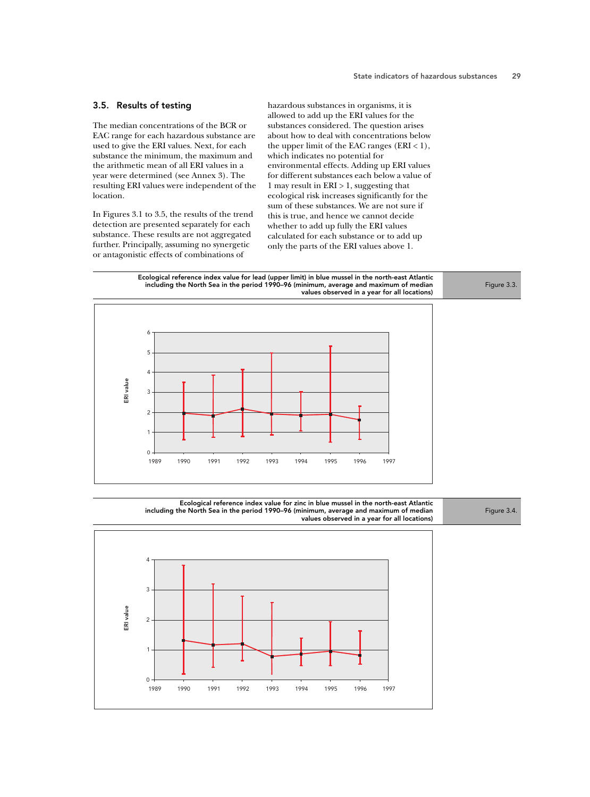## 3.5. Results of testing

The median concentrations of the BCR or EAC range for each hazardous substance are used to give the ERI values. Next, for each substance the minimum, the maximum and the arithmetic mean of all ERI values in a year were determined (see Annex 3). The resulting ERI values were independent of the location.

In Figures 3.1 to 3.5, the results of the trend detection are presented separately for each substance. These results are not aggregated further. Principally, assuming no synergetic or antagonistic effects of combinations of

hazardous substances in organisms, it is allowed to add up the ERI values for the substances considered. The question arises about how to deal with concentrations below the upper limit of the EAC ranges  $(ERI < 1)$ , which indicates no potential for environmental effects. Adding up ERI values for different substances each below a value of 1 may result in  $ERI > 1$ , suggesting that ecological risk increases significantly for the sum of these substances. We are not sure if this is true, and hence we cannot decide whether to add up fully the ERI values calculated for each substance or to add up only the parts of the ERI values above 1.

Ecological reference index value for lead (upper limit) in blue mussel in the north-east Atlantic including the North Sea in the period 1990–96 (minimum, average and maximum of median values observed in a year for all locations)





Figure 3.3.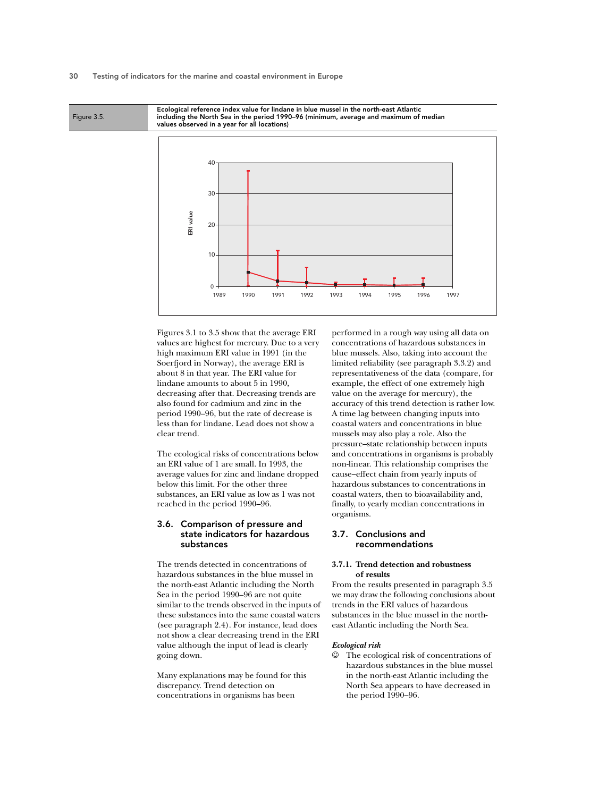Figure 3.5.

#### Ecological reference index value for lindane in blue mussel in the north-east Atlantic including the North Sea in the period 1990–96 (minimum, average and maximum of median values observed in a year for all locations)



Figures 3.1 to 3.5 show that the average ERI values are highest for mercury. Due to a very high maximum ERI value in 1991 (in the Soerfjord in Norway), the average ERI is about 8 in that year. The ERI value for lindane amounts to about 5 in 1990, decreasing after that. Decreasing trends are also found for cadmium and zinc in the period 1990–96, but the rate of decrease is less than for lindane. Lead does not show a clear trend.

The ecological risks of concentrations below an ERI value of 1 are small. In 1993, the average values for zinc and lindane dropped below this limit. For the other three substances, an ERI value as low as 1 was not reached in the period 1990–96.

## 3.6. Comparison of pressure and state indicators for hazardous substances

The trends detected in concentrations of hazardous substances in the blue mussel in the north-east Atlantic including the North Sea in the period 1990–96 are not quite similar to the trends observed in the inputs of these substances into the same coastal waters (see paragraph 2.4). For instance, lead does not show a clear decreasing trend in the ERI value although the input of lead is clearly going down.

Many explanations may be found for this discrepancy. Trend detection on concentrations in organisms has been

performed in a rough way using all data on concentrations of hazardous substances in blue mussels. Also, taking into account the limited reliability (see paragraph 3.3.2) and representativeness of the data (compare, for example, the effect of one extremely high value on the average for mercury), the accuracy of this trend detection is rather low. A time lag between changing inputs into coastal waters and concentrations in blue mussels may also play a role. Also the pressure-state relationship between inputs and concentrations in organisms is probably non-linear. This relationship comprises the cause-effect chain from yearly inputs of hazardous substances to concentrations in coastal waters, then to bioavailability and, finally, to yearly median concentrations in organisms.

## 3.7. Conclusions and recommendations

#### 3.7.1. Trend detection and robustness of results

From the results presented in paragraph 3.5 we may draw the following conclusions about trends in the ERI values of hazardous substances in the blue mussel in the northeast Atlantic including the North Sea.

#### Ecological risk

 $\circledcirc$  The ecological risk of concentrations of hazardous substances in the blue mussel in the north-east Atlantic including the North Sea appears to have decreased in the period 1990–96.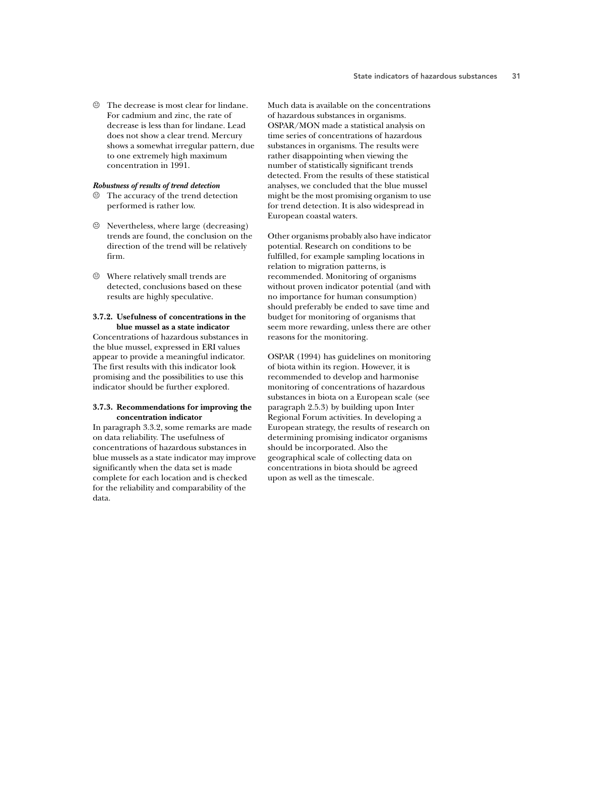$\odot$  The decrease is most clear for lindane. For cadmium and zinc, the rate of decrease is less than for lindane. Lead does not show a clear trend. Mercury shows a somewhat irregular pattern, due to one extremely high maximum concentration in 1991.

#### Robustness of results of trend detection

- The accuracy of the trend detection performed is rather low.
- $\odot$  Nevertheless, where large (decreasing) trends are found, the conclusion on the direction of the trend will be relatively firm.
- $\odot$  Where relatively small trends are detected, conclusions based on these results are highly speculative.

#### 3.7.2. Usefulness of concentrations in the blue mussel as a state indicator

Concentrations of hazardous substances in the blue mussel, expressed in ERI values appear to provide a meaningful indicator. The first results with this indicator look promising and the possibilities to use this indicator should be further explored.

### 3.7.3. Recommendations for improving the concentration indicator

In paragraph 3.3.2, some remarks are made on data reliability. The usefulness of concentrations of hazardous substances in blue mussels as a state indicator may improve significantly when the data set is made complete for each location and is checked for the reliability and comparability of the data

Much data is available on the concentrations of hazardous substances in organisms. OSPAR/MON made a statistical analysis on time series of concentrations of hazardous substances in organisms. The results were rather disappointing when viewing the number of statistically significant trends detected. From the results of these statistical analyses, we concluded that the blue mussel might be the most promising organism to use for trend detection. It is also widespread in European coastal waters.

Other organisms probably also have indicator potential. Research on conditions to be fulfilled, for example sampling locations in relation to migration patterns, is recommended. Monitoring of organisms without proven indicator potential (and with no importance for human consumption) should preferably be ended to save time and budget for monitoring of organisms that seem more rewarding, unless there are other reasons for the monitoring.

OSPAR (1994) has guidelines on monitoring of biota within its region. However, it is recommended to develop and harmonise monitoring of concentrations of hazardous substances in biota on a European scale (see paragraph 2.5.3) by building upon Inter Regional Forum activities. In developing a European strategy, the results of research on determining promising indicator organisms should be incorporated. Also the geographical scale of collecting data on concentrations in biota should be agreed upon as well as the timescale.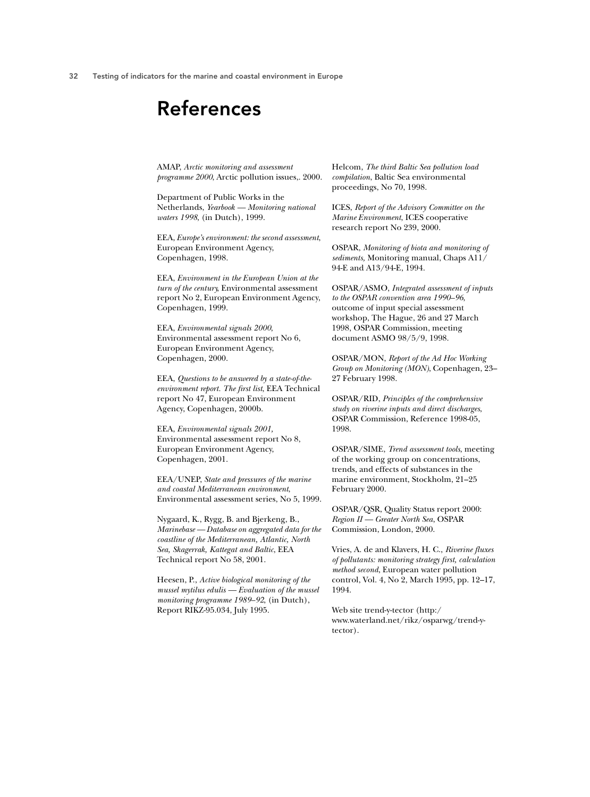## **References**

AMAP, Arctic monitoring and assessment programme 2000, Arctic pollution issues,. 2000.

Department of Public Works in the Netherlands, Yearbook — Monitoring national waters 1998, (in Dutch), 1999.

EEA, Europe's environment: the second assessment, European Environment Agency, Copenhagen, 1998.

EEA, Environment in the European Union at the turn of the century, Environmental assessment report No 2, European Environment Agency, Copenhagen, 1999.

EEA, Environmental signals 2000, Environmental assessment report No 6, European Environment Agency, Copenhagen, 2000.

EEA, Questions to be answered by a state-of-theenvironment report. The first list, EEA Technical report No 47, European Environment Agency, Copenhagen, 2000b.

EEA, Environmental signals 2001, Environmental assessment report No 8, European Environment Agency, Copenhagen, 2001.

EEA/UNEP, State and pressures of the marine and coastal Mediterranean environment, Environmental assessment series, No 5, 1999.

Nygaard, K., Rygg, B. and Bjerkeng, B., Marinebase — Database on aggregated data for the coastline of the Mediterranean, Atlantic, North Sea, Skagerrak, Kattegat and Baltic, EEA Technical report No 58, 2001.

Heesen, P., Active biological monitoring of the mussel mytilus edulis - Evaluation of the mussel monitoring programme 1989-92, (in Dutch), Report RIKZ-95.034, July 1995.

Helcom, The third Baltic Sea pollution load compilation, Baltic Sea environmental proceedings, No 70, 1998.

ICES, Report of the Advisory Committee on the Marine Environment, ICES cooperative research report No 239, 2000.

**OSPAR**, Monitoring of biota and monitoring of sediments, Monitoring manual, Chaps A11/ 94-E and A13/94-E, 1994.

OSPAR/ASMO, Integrated assessment of inputs to the OSPAR convention area 1990-96, outcome of input special assessment workshop, The Hague, 26 and 27 March 1998, OSPAR Commission, meeting document ASMO 98/5/9, 1998.

OSPAR/MON, Report of the Ad Hoc Working Group on Monitoring (MON), Copenhagen, 23-27 February 1998.

OSPAR/RID, Principles of the comprehensive study on riverine inputs and direct discharges, OSPAR Commission, Reference 1998-05, 1998.

OSPAR/SIME, Trend assessment tools, meeting of the working group on concentrations, trends, and effects of substances in the marine environment, Stockholm, 21-25 February 2000.

OSPAR/QSR, Quality Status report 2000: Region II - Greater North Sea, OSPAR Commission, London, 2000.

Vries, A. de and Klavers, H. C., Riverine fluxes of pollutants: monitoring strategy first, calculation method second, European water pollution control, Vol. 4, No 2, March 1995, pp. 12-17, 1994.

Web site trend-y-tector (http:/ www.waterland.net/rikz/osparwg/trend-ytector).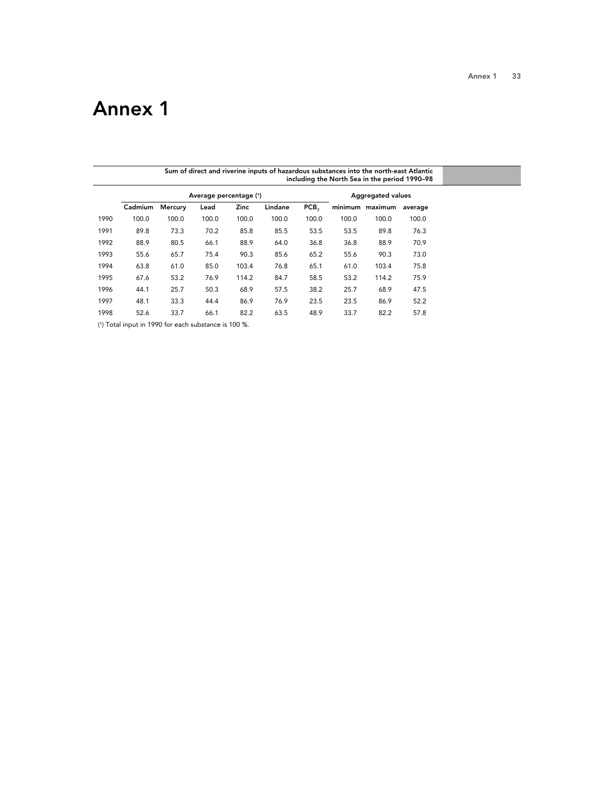## Annex 1

|      |         |                        |       |             |         | including the North Sea in the period 1990-98 |       |                          |         |  |  |  |
|------|---------|------------------------|-------|-------------|---------|-----------------------------------------------|-------|--------------------------|---------|--|--|--|
|      |         | Average percentage (1) |       |             |         |                                               |       | <b>Aggregated values</b> |         |  |  |  |
|      | Cadmium | Mercury                | Lead  | <b>Zinc</b> | Lindane | PCB <sub>7</sub>                              |       | minimum maximum          | average |  |  |  |
| 1990 | 100.0   | 100.0                  | 100.0 | 100.0       | 100.0   | 100.0                                         | 100.0 | 100.0                    | 100.0   |  |  |  |
| 1991 | 89.8    | 73.3                   | 70.2  | 85.8        | 85.5    | 53.5                                          | 53.5  | 89.8                     | 76.3    |  |  |  |
| 1992 | 88.9    | 80.5                   | 66.1  | 88.9        | 64.0    | 36.8                                          | 36.8  | 88.9                     | 70.9    |  |  |  |
| 1993 | 55.6    | 65.7                   | 75.4  | 90.3        | 85.6    | 65.2                                          | 55.6  | 90.3                     | 73.0    |  |  |  |
| 1994 | 63.8    | 61.0                   | 85.0  | 103.4       | 76.8    | 65.1                                          | 61.0  | 103.4                    | 75.8    |  |  |  |
| 1995 | 67.6    | 53.2                   | 76.9  | 114.2       | 84.7    | 58.5                                          | 53.2  | 114.2                    | 75.9    |  |  |  |
| 1996 | 44.1    | 25.7                   | 50.3  | 68.9        | 57.5    | 38.2                                          | 25.7  | 68.9                     | 47.5    |  |  |  |
| 1997 | 48.1    | 33.3                   | 44.4  | 86.9        | 76.9    | 23.5                                          | 23.5  | 86.9                     | 52.2    |  |  |  |
| 1998 | 52.6    | 33.7                   | 66.1  | 82.2        | 63.5    | 48.9                                          | 33.7  | 82.2                     | 57.8    |  |  |  |
|      |         |                        |       |             |         |                                               |       |                          |         |  |  |  |

Sum of direct and riverine inputs of hazardous substances into the north-east Atlantic

( 1) Total input in 1990 for each substance is 100 %.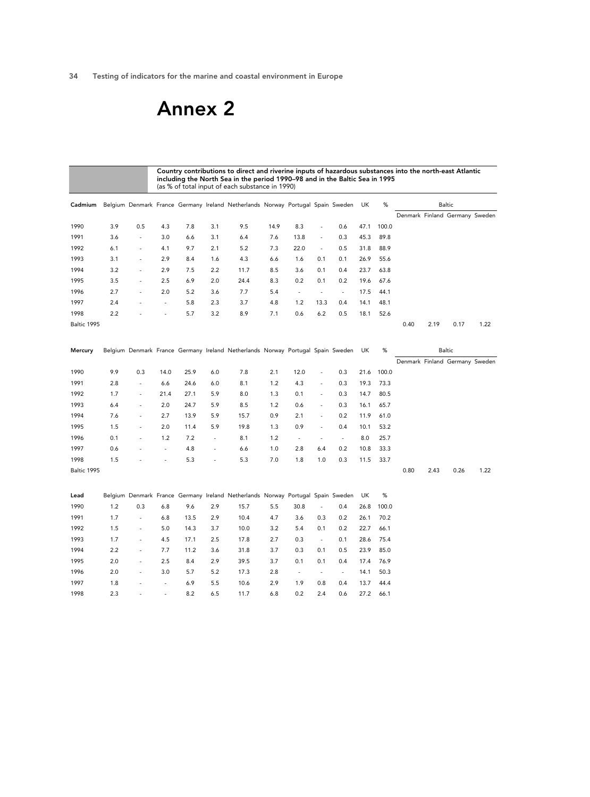# Annex 2

#### Country contributions to direct and riverine inputs of hazardous substances into the north-east Atlantic including the North Sea in the period 1990–98 and in the Baltic Sea in 1995 (as % of total input of each substance in 1990)

|             |     |                          |                |      |                          | Cadmium Belgium Denmark France Germany Ireland Netherlands Norway Portugal Spain Sweden |      |                          |                          |                          | UK   | $\%$  |      |      | <b>Baltic</b>                  |      |
|-------------|-----|--------------------------|----------------|------|--------------------------|-----------------------------------------------------------------------------------------|------|--------------------------|--------------------------|--------------------------|------|-------|------|------|--------------------------------|------|
|             |     |                          |                |      |                          |                                                                                         |      |                          |                          |                          |      |       |      |      | Denmark Finland Germany Sweden |      |
| 1990        | 3.9 | 0.5                      | 4.3            | 7.8  | 3.1                      | 9.5                                                                                     | 14.9 | 8.3                      | $\overline{\phantom{a}}$ | 0.6                      | 47.1 | 100.0 |      |      |                                |      |
| 1991        | 3.6 | $\overline{\phantom{a}}$ | 3.0            | 6.6  | 3.1                      | 6.4                                                                                     | 7.6  | 13.8                     | $\blacksquare$           | 0.3                      | 45.3 | 89.8  |      |      |                                |      |
| 1992        | 6.1 | $\overline{\phantom{a}}$ | 4.1            | 9.7  | 2.1                      | 5.2                                                                                     | 7.3  | 22.0                     | $\overline{\phantom{a}}$ | 0.5                      | 31.8 | 88.9  |      |      |                                |      |
| 1993        | 3.1 | $\overline{\phantom{a}}$ | 2.9            | 8.4  | 1.6                      | 4.3                                                                                     | 6.6  | 1.6                      | 0.1                      | 0.1                      | 26.9 | 55.6  |      |      |                                |      |
| 1994        | 3.2 | $\overline{\phantom{a}}$ | 2.9            | 7.5  | 2.2                      | 11.7                                                                                    | 8.5  | 3.6                      | 0.1                      | 0.4                      | 23.7 | 63.8  |      |      |                                |      |
| 1995        | 3.5 | $\overline{\phantom{a}}$ | 2.5            | 6.9  | 2.0                      | 24.4                                                                                    | 8.3  | 0.2                      | 0.1                      | 0.2                      | 19.6 | 67.6  |      |      |                                |      |
| 1996        | 2.7 | $\overline{a}$           | 2.0            | 5.2  | 3.6                      | 7.7                                                                                     | 5.4  | $\blacksquare$           | $\overline{\phantom{a}}$ | $\overline{\phantom{a}}$ | 17.5 | 44.1  |      |      |                                |      |
| 1997        | 2.4 |                          | $\omega$       | 5.8  | 2.3                      | 3.7                                                                                     | 4.8  | 1.2                      | 13.3                     | 0.4                      | 14.1 | 48.1  |      |      |                                |      |
| 1998        | 2.2 |                          | $\blacksquare$ | 5.7  | 3.2                      | 8.9                                                                                     | 7.1  | 0.6                      | 6.2                      | 0.5                      | 18.1 | 52.6  |      |      |                                |      |
| Baltic 1995 |     |                          |                |      |                          |                                                                                         |      |                          |                          |                          |      |       | 0.40 | 2.19 | 0.17                           | 1.22 |
| Mercury     |     |                          |                |      |                          | Belgium Denmark France Germany Ireland Netherlands Norway Portugal Spain Sweden         |      |                          |                          |                          | UK   | $\%$  |      |      | <b>Baltic</b>                  |      |
|             |     |                          |                |      |                          |                                                                                         |      |                          |                          |                          |      |       |      |      | Denmark Finland Germany Sweden |      |
| 1990        | 9.9 | 0.3                      | 14.0           | 25.9 | 6.0                      | 7.8                                                                                     | 2.1  | 12.0                     | $\overline{\phantom{a}}$ | 0.3                      | 21.6 | 100.0 |      |      |                                |      |
| 1991        | 2.8 | $\overline{\phantom{a}}$ | 6.6            | 24.6 | 6.0                      | 8.1                                                                                     | 1.2  | 4.3                      | $\blacksquare$           | 0.3                      | 19.3 | 73.3  |      |      |                                |      |
| 1992        | 1.7 | $\blacksquare$           | 21.4           | 27.1 | 5.9                      | 8.0                                                                                     | 1.3  | 0.1                      | $\blacksquare$           | 0.3                      | 14.7 | 80.5  |      |      |                                |      |
| 1993        | 6.4 | $\blacksquare$           | 2.0            | 24.7 | 5.9                      | 8.5                                                                                     | 1.2  | 0.6                      | $\Box$                   | 0.3                      | 16.1 | 65.7  |      |      |                                |      |
| 1994        | 7.6 | $\overline{\phantom{a}}$ | 2.7            | 13.9 | 5.9                      | 15.7                                                                                    | 0.9  | 2.1                      | $\overline{\phantom{a}}$ | 0.2                      | 11.9 | 61.0  |      |      |                                |      |
| 1995        | 1.5 | $\overline{\phantom{a}}$ | 2.0            | 11.4 | 5.9                      | 19.8                                                                                    | 1.3  | 0.9                      | $\blacksquare$           | 0.4                      | 10.1 | 53.2  |      |      |                                |      |
| 1996        | 0.1 | $\overline{\phantom{a}}$ | 1.2            | 7.2  | $\blacksquare$           | 8.1                                                                                     | 1.2  | $\blacksquare$           | $\blacksquare$           | $\sim$                   | 8.0  | 25.7  |      |      |                                |      |
| 1997        | 0.6 |                          | $\blacksquare$ | 4.8  | $\overline{\phantom{a}}$ | 6.6                                                                                     | 1.0  | 2.8                      | 6.4                      | 0.2                      | 10.8 | 33.3  |      |      |                                |      |
| 1998        | 1.5 |                          | $\overline{a}$ | 5.3  | $\overline{a}$           | 5.3                                                                                     | 7.0  | 1.8                      | 1.0                      | 0.3                      | 11.5 | 33.7  |      |      |                                |      |
| Baltic 1995 |     |                          |                |      |                          |                                                                                         |      |                          |                          |                          |      |       | 0.80 | 2.43 | 0.26                           | 1.22 |
| Lead        |     |                          |                |      |                          | Belgium Denmark France Germany Ireland Netherlands Norway Portugal Spain Sweden         |      |                          |                          |                          | UK   | $\%$  |      |      |                                |      |
| 1990        | 1.2 | 0.3                      | 6.8            | 9.6  | 2.9                      | 15.7                                                                                    | 5.5  | 30.8                     | $\overline{\phantom{a}}$ | 0.4                      | 26.8 | 100.0 |      |      |                                |      |
| 1991        | 1.7 | $\overline{\phantom{a}}$ | 6.8            | 13.5 | 2.9                      | 10.4                                                                                    | 4.7  | 3.6                      | 0.3                      | 0.2                      | 26.1 | 70.2  |      |      |                                |      |
| 1992        | 1.5 | $\overline{\phantom{a}}$ | 5.0            | 14.3 | 3.7                      | 10.0                                                                                    | 3.2  | 5.4                      | 0.1                      | 0.2                      | 22.7 | 66.1  |      |      |                                |      |
| 1993        | 1.7 | $\overline{\phantom{a}}$ | 4.5            | 17.1 | 2.5                      | 17.8                                                                                    | 2.7  | 0.3                      | $\overline{\phantom{a}}$ | 0.1                      | 28.6 | 75.4  |      |      |                                |      |
| 1994        | 2.2 | $\overline{\phantom{a}}$ | 7.7            | 11.2 | 3.6                      | 31.8                                                                                    | 3.7  | 0.3                      | 0.1                      | 0.5                      | 23.9 | 85.0  |      |      |                                |      |
| 1995        | 2.0 | $\overline{\phantom{a}}$ | 2.5            | 8.4  | 2.9                      | 39.5                                                                                    | 3.7  | 0.1                      | 0.1                      | 0.4                      | 17.4 | 76.9  |      |      |                                |      |
| 1996        | 2.0 | $\overline{a}$           | 3.0            | 5.7  | 5.2                      | 17.3                                                                                    | 2.8  | $\overline{\phantom{a}}$ | $\blacksquare$           | $\blacksquare$           | 14.1 | 50.3  |      |      |                                |      |
| 1997        | 1.8 |                          | $\sim$         | 6.9  | 5.5                      | 10.6                                                                                    | 2.9  | 1.9                      | 0.8                      | 0.4                      | 13.7 | 44.4  |      |      |                                |      |
| 1998        | 2.3 |                          |                | 8.2  | 6.5                      | 11.7                                                                                    | 6.8  | 0.2                      | 2.4                      | 0.6                      | 27.2 | 66.1  |      |      |                                |      |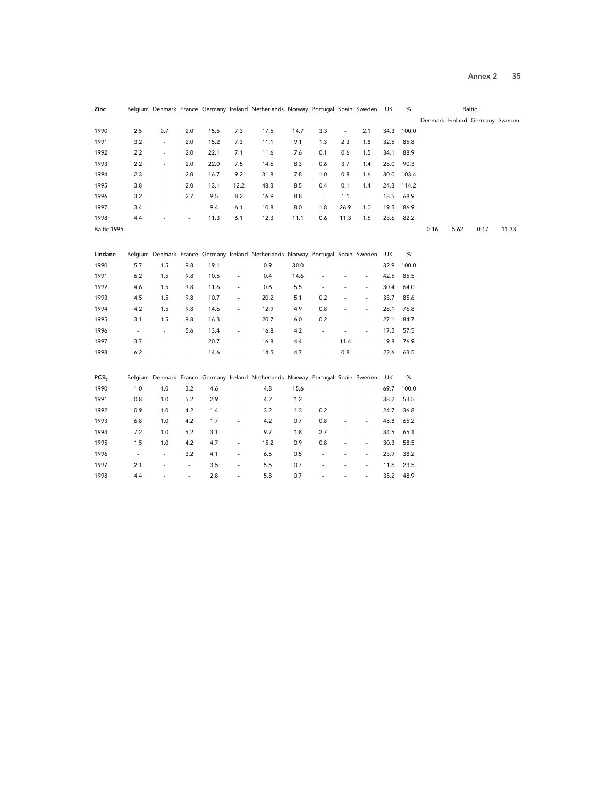| Zinc             |                          |                          |                          |      |                          | Belgium Denmark France Germany Ireland Netherlands Norway Portugal Spain Sweden |         |                          |                          |                          | UK   | %     | <b>Baltic</b>                  |      |      |       |
|------------------|--------------------------|--------------------------|--------------------------|------|--------------------------|---------------------------------------------------------------------------------|---------|--------------------------|--------------------------|--------------------------|------|-------|--------------------------------|------|------|-------|
|                  |                          |                          |                          |      |                          |                                                                                 |         |                          |                          |                          |      |       | Denmark Finland Germany Sweden |      |      |       |
| 1990             | 2.5                      | 0.7                      | 2.0                      | 15.5 | 7.3                      | 17.5                                                                            | 14.7    | 3.3                      | $\overline{\phantom{a}}$ | 2.1                      | 34.3 | 100.0 |                                |      |      |       |
| 1991             | 3.2                      | $\overline{\phantom{a}}$ | 2.0                      | 15.2 | 7.3                      | 11.1                                                                            | 9.1     | 1.3                      | 2.3                      | 1.8                      | 32.5 | 85.8  |                                |      |      |       |
| 1992             | 2.2                      | $\overline{\phantom{a}}$ | 2.0                      | 22.1 | 7.1                      | 11.6                                                                            | 7.6     | 0.1                      | 0.6                      | 1.5                      | 34.1 | 88.9  |                                |      |      |       |
| 1993             | 2.2                      | $\blacksquare$           | 2.0                      | 22.0 | 7.5                      | 14.6                                                                            | 8.3     | 0.6                      | 3.7                      | 1.4                      | 28.0 | 90.3  |                                |      |      |       |
| 1994             | 2.3                      | $\overline{\phantom{a}}$ | 2.0                      | 16.7 | 9.2                      | 31.8                                                                            | 7.8     | 1.0                      | 0.8                      | 1.6                      | 30.0 | 103.4 |                                |      |      |       |
| 1995             | 3.8                      | $\overline{\phantom{a}}$ | 2.0                      | 13.1 | 12.2                     | 48.3                                                                            | 8.5     | 0.4                      | 0.1                      | 1.4                      | 24.3 | 114.2 |                                |      |      |       |
| 1996             | 3.2                      | $\overline{\phantom{a}}$ | 2.7                      | 9.5  | 8.2                      | 16.9                                                                            | 8.8     | $\blacksquare$           | 1.1                      | $\overline{\phantom{a}}$ | 18.5 | 68.9  |                                |      |      |       |
| 1997             | 3.4                      |                          | $\overline{\phantom{a}}$ | 9.4  | 6.1                      | 10.8                                                                            | 8.0     | 1.8                      | 26.9                     | 1.0                      | 19.5 | 86.9  |                                |      |      |       |
| 1998             | 4.4                      |                          | $\blacksquare$           | 11.3 | 6.1                      | 12.3                                                                            | 11.1    | 0.6                      | 11.3                     | 1.5                      | 23.6 | 82.2  |                                |      |      |       |
| Baltic 1995      |                          |                          |                          |      |                          |                                                                                 |         |                          |                          |                          |      |       | 0.16                           | 5.62 | 0.17 | 11.33 |
| Lindane          |                          |                          |                          |      |                          | Belgium Denmark France Germany Ireland Netherlands Norway Portugal Spain Sweden |         |                          |                          |                          | UK   | $\%$  |                                |      |      |       |
| 1990             | 5.7                      | 1.5                      | 9.8                      | 19.1 | $\blacksquare$           | 0.9                                                                             | 30.0    |                          |                          |                          | 32.9 | 100.0 |                                |      |      |       |
| 1991             | 6.2                      | 1.5                      | 9.8                      | 10.5 | $\blacksquare$           | 0.4                                                                             | 14.6    |                          |                          |                          | 42.5 | 85.5  |                                |      |      |       |
| 1992             | 4.6                      | 1.5                      | 9.8                      | 11.6 | $\overline{\phantom{a}}$ | 0.6                                                                             | 5.5     | $\sim$                   |                          | $\sim$                   | 30.4 | 64.0  |                                |      |      |       |
| 1993             | 4.5                      | 1.5                      | 9.8                      | 10.7 | $\overline{\phantom{a}}$ | 20.2                                                                            | 5.1     | 0.2                      | ÷,                       | $\overline{\phantom{a}}$ | 33.7 | 85.6  |                                |      |      |       |
| 1994             | 4.2                      | 1.5                      | 9.8                      | 14.6 | $\blacksquare$           | 12.9                                                                            | 4.9     | 0.8                      |                          | $\blacksquare$           | 28.1 | 76.8  |                                |      |      |       |
| 1995             | 3.1                      | 1.5                      | 9.8                      | 16.3 | $\overline{\phantom{a}}$ | 20.7                                                                            | 6.0     | 0.2                      | ÷,                       | $\overline{\phantom{a}}$ | 27.1 | 84.7  |                                |      |      |       |
| 1996             | $\overline{\phantom{a}}$ | $\blacksquare$           | 5.6                      | 13.4 | $\blacksquare$           | 16.8                                                                            | $4.2\,$ | $\overline{\phantom{a}}$ | $\overline{a}$           | $\bar{\phantom{a}}$      | 17.5 | 57.5  |                                |      |      |       |
| 1997             | 3.7                      |                          | $\overline{\phantom{a}}$ | 20.7 | $\overline{\phantom{a}}$ | 16.8                                                                            | 4.4     | $\blacksquare$           | 11.4                     | $\overline{\phantom{a}}$ | 19.8 | 76.9  |                                |      |      |       |
| 1998             | 6.2                      |                          | ÷,                       | 14.6 | $\overline{\phantom{a}}$ | 14.5                                                                            | 4.7     | $\blacksquare$           | 0.8                      | $\overline{a}$           | 22.6 | 63.5  |                                |      |      |       |
| PCB <sub>7</sub> |                          |                          |                          |      |                          | Belgium Denmark France Germany Ireland Netherlands Norway Portugal Spain Sweden |         |                          |                          |                          | UK   | %     |                                |      |      |       |
| 1990             | 1.0                      | 1.0                      | 3.2                      | 4.6  | $\overline{\phantom{a}}$ | 4.8                                                                             | 15.6    |                          |                          | $\overline{\phantom{a}}$ | 69.7 | 100.0 |                                |      |      |       |
| 1991             | 0.8                      | 1.0                      | 5.2                      | 2.9  | $\overline{\phantom{a}}$ | 4.2                                                                             | 1.2     | $\overline{\phantom{a}}$ |                          | $\overline{\phantom{a}}$ | 38.2 | 53.5  |                                |      |      |       |
| 1992             | 0.9                      | 1.0                      | 4.2                      | 1.4  | $\overline{\phantom{a}}$ | 3.2                                                                             | 1.3     | 0.2                      | ÷,                       | $\overline{\phantom{a}}$ | 24.7 | 36.8  |                                |      |      |       |
| 1993             | 6.8                      | 1.0                      | 4.2                      | 1.7  | $\overline{\phantom{a}}$ | 4.2                                                                             | 0.7     | 0.8                      | $\sim$                   | $\overline{\phantom{a}}$ | 45.8 | 65.2  |                                |      |      |       |
| 1994             | 7.2                      | 1.0                      | 5.2                      | 3.1  | $\overline{\phantom{a}}$ | 9.7                                                                             | 1.8     | 2.7                      | $\sim$                   | $\overline{\phantom{a}}$ | 34.5 | 65.1  |                                |      |      |       |
| 1995             | 1.5                      | 1.0                      | 4.2                      | 4.7  | $\overline{\phantom{a}}$ | 15.2                                                                            | 0.9     | 0.8                      |                          | $\overline{\phantom{a}}$ | 30.3 | 58.5  |                                |      |      |       |
| 1996             | $\overline{\phantom{a}}$ | $\overline{\phantom{a}}$ | 3.2                      | 4.1  | $\overline{\phantom{a}}$ | 6.5                                                                             | 0.5     |                          |                          | $\sim$                   | 23.9 | 38.2  |                                |      |      |       |
| 1997             | 2.1                      | $\overline{a}$           | $\overline{\phantom{a}}$ | 3.5  | $\overline{\phantom{a}}$ | 5.5                                                                             | 0.7     |                          |                          | $\sim$                   | 11.6 | 23.5  |                                |      |      |       |
| 1998             | 4.4                      |                          | $\overline{\phantom{a}}$ | 2.8  | $\overline{\phantom{a}}$ | 5.8                                                                             | 0.7     |                          |                          | ÷,                       | 35.2 | 48.9  |                                |      |      |       |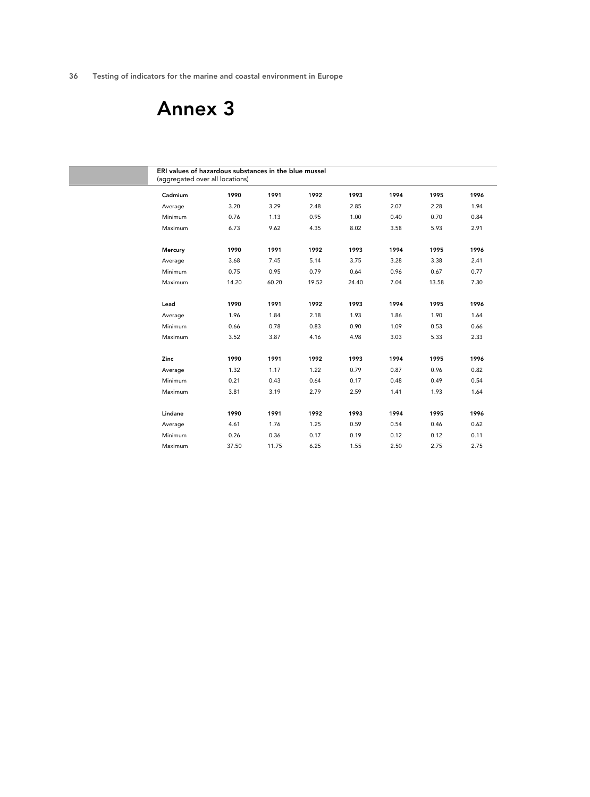# Annex 3

#### ERI values of hazardous substances in the blue mussel (aggregated over all locations)

| aggregatea over an iocations/ |       |       |       |       |      |       |      |
|-------------------------------|-------|-------|-------|-------|------|-------|------|
| Cadmium                       | 1990  | 1991  | 1992  | 1993  | 1994 | 1995  | 1996 |
| Average                       | 3.20  | 3.29  | 2.48  | 2.85  | 2.07 | 2.28  | 1.94 |
| Minimum                       | 0.76  | 1.13  | 0.95  | 1.00  | 0.40 | 0.70  | 0.84 |
| Maximum                       | 6.73  | 9.62  | 4.35  | 8.02  | 3.58 | 5.93  | 2.91 |
| Mercury                       | 1990  | 1991  | 1992  | 1993  | 1994 | 1995  | 1996 |
| Average                       | 3.68  | 7.45  | 5.14  | 3.75  | 3.28 | 3.38  | 2.41 |
| Minimum                       | 0.75  | 0.95  | 0.79  | 0.64  | 0.96 | 0.67  | 0.77 |
| Maximum                       | 14.20 | 60.20 | 19.52 | 24.40 | 7.04 | 13.58 | 7.30 |
| Lead                          | 1990  | 1991  | 1992  | 1993  | 1994 | 1995  | 1996 |
| Average                       | 1.96  | 1.84  | 2.18  | 1.93  | 1.86 | 1.90  | 1.64 |
| Minimum                       | 0.66  | 0.78  | 0.83  | 0.90  | 1.09 | 0.53  | 0.66 |
| Maximum                       | 3.52  | 3.87  | 4.16  | 4.98  | 3.03 | 5.33  | 2.33 |
| Zinc                          | 1990  | 1991  | 1992  | 1993  | 1994 | 1995  | 1996 |
| Average                       | 1.32  | 1.17  | 1.22  | 0.79  | 0.87 | 0.96  | 0.82 |
| Minimum                       | 0.21  | 0.43  | 0.64  | 0.17  | 0.48 | 0.49  | 0.54 |
| Maximum                       | 3.81  | 3.19  | 2.79  | 2.59  | 1.41 | 1.93  | 1.64 |
| Lindane                       | 1990  | 1991  | 1992  | 1993  | 1994 | 1995  | 1996 |
| Average                       | 4.61  | 1.76  | 1.25  | 0.59  | 0.54 | 0.46  | 0.62 |
| Minimum                       | 0.26  | 0.36  | 0.17  | 0.19  | 0.12 | 0.12  | 0.11 |
| Maximum                       | 37.50 | 11.75 | 6.25  | 1.55  | 2.50 | 2.75  | 2.75 |